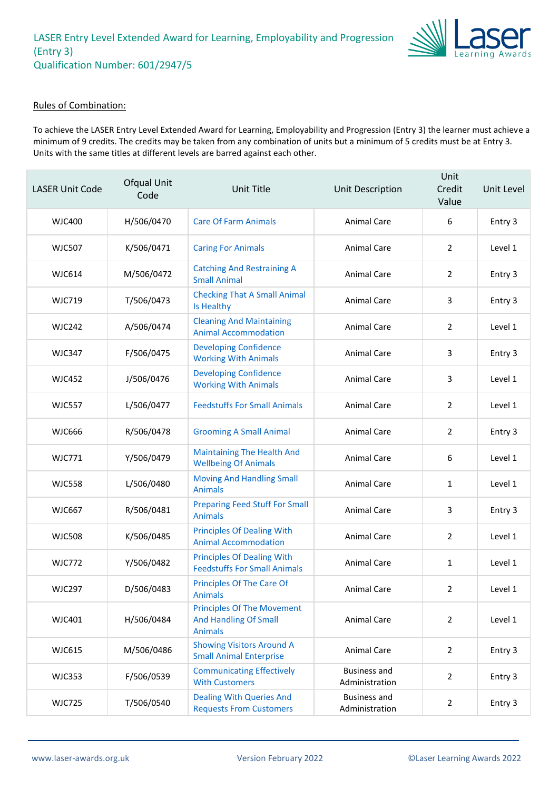

#### Rules of Combination:

To achieve the LASER Entry Level Extended Award for Learning, Employability and Progression (Entry 3) the learner must achieve a minimum of 9 credits. The credits may be taken from any combination of units but a minimum of 5 credits must be at Entry 3. Units with the same titles at different levels are barred against each other.

| <b>LASER Unit Code</b> | Ofqual Unit<br>Code | <b>Unit Title</b>                                                                   | Unit Description                      | Unit<br>Credit<br>Value | Unit Level |
|------------------------|---------------------|-------------------------------------------------------------------------------------|---------------------------------------|-------------------------|------------|
| <b>WJC400</b>          | H/506/0470          | <b>Care Of Farm Animals</b>                                                         | <b>Animal Care</b>                    | 6                       | Entry 3    |
| <b>WJC507</b>          | K/506/0471          | <b>Caring For Animals</b>                                                           | <b>Animal Care</b>                    | $\overline{2}$          | Level 1    |
| <b>WJC614</b>          | M/506/0472          | <b>Catching And Restraining A</b><br><b>Small Animal</b>                            | <b>Animal Care</b>                    | 2                       | Entry 3    |
| <b>WJC719</b>          | T/506/0473          | <b>Checking That A Small Animal</b><br>Is Healthy                                   | <b>Animal Care</b>                    | 3                       | Entry 3    |
| <b>WJC242</b>          | A/506/0474          | <b>Cleaning And Maintaining</b><br><b>Animal Accommodation</b>                      | <b>Animal Care</b>                    | $\overline{2}$          | Level 1    |
| <b>WJC347</b>          | F/506/0475          | <b>Developing Confidence</b><br><b>Working With Animals</b>                         | Animal Care                           | 3                       | Entry 3    |
| <b>WJC452</b>          | J/506/0476          | <b>Developing Confidence</b><br><b>Working With Animals</b>                         | <b>Animal Care</b>                    | 3                       | Level 1    |
| <b>WJC557</b>          | L/506/0477          | <b>Feedstuffs For Small Animals</b>                                                 | <b>Animal Care</b>                    | 2                       | Level 1    |
| <b>WJC666</b>          | R/506/0478          | <b>Grooming A Small Animal</b>                                                      | Animal Care                           | $\overline{2}$          | Entry 3    |
| <b>WJC771</b>          | Y/506/0479          | <b>Maintaining The Health And</b><br><b>Wellbeing Of Animals</b>                    | <b>Animal Care</b>                    | 6                       | Level 1    |
| <b>WJC558</b>          | L/506/0480          | <b>Moving And Handling Small</b><br><b>Animals</b>                                  | <b>Animal Care</b>                    | $\mathbf{1}$            | Level 1    |
| <b>WJC667</b>          | R/506/0481          | <b>Preparing Feed Stuff For Small</b><br><b>Animals</b>                             | <b>Animal Care</b>                    | 3                       | Entry 3    |
| <b>WJC508</b>          | K/506/0485          | <b>Principles Of Dealing With</b><br><b>Animal Accommodation</b>                    | <b>Animal Care</b>                    | $\overline{2}$          | Level 1    |
| <b>WJC772</b>          | Y/506/0482          | <b>Principles Of Dealing With</b><br><b>Feedstuffs For Small Animals</b>            | <b>Animal Care</b>                    | 1                       | Level 1    |
| <b>WJC297</b>          | D/506/0483          | Principles Of The Care Of<br>Animals                                                | Animal Care                           | 2                       | Level 1    |
| <b>WJC401</b>          | H/506/0484          | <b>Principles Of The Movement</b><br><b>And Handling Of Small</b><br><b>Animals</b> | Animal Care                           | $\overline{2}$          | Level 1    |
| <b>WJC615</b>          | M/506/0486          | <b>Showing Visitors Around A</b><br><b>Small Animal Enterprise</b>                  | <b>Animal Care</b>                    | 2                       | Entry 3    |
| <b>WJC353</b>          | F/506/0539          | <b>Communicating Effectively</b><br><b>With Customers</b>                           | <b>Business and</b><br>Administration | $\overline{2}$          | Entry 3    |
| <b>WJC725</b>          | T/506/0540          | <b>Dealing With Queries And</b><br><b>Requests From Customers</b>                   | <b>Business and</b><br>Administration | $\overline{2}$          | Entry 3    |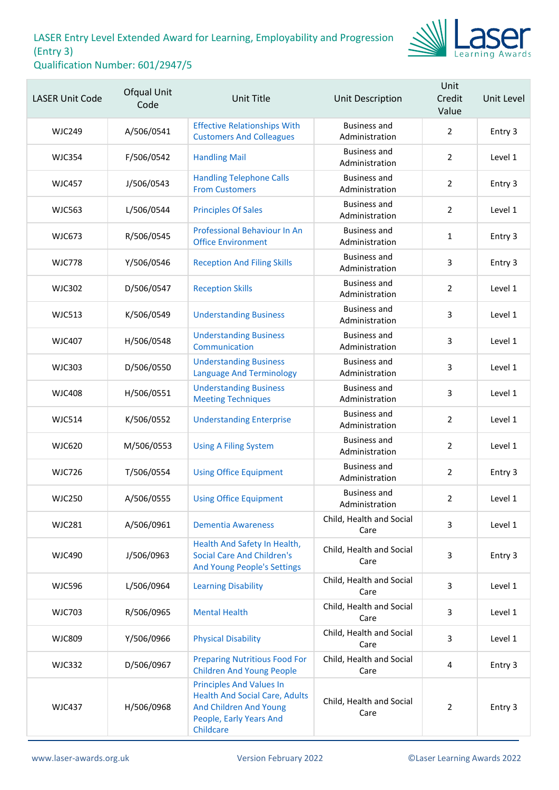

| <b>LASER Unit Code</b> | Ofqual Unit<br>Code | <b>Unit Title</b>                                                                                                                          | Unit Description                      | Unit<br>Credit<br>Value | Unit Level |
|------------------------|---------------------|--------------------------------------------------------------------------------------------------------------------------------------------|---------------------------------------|-------------------------|------------|
| <b>WJC249</b>          | A/506/0541          | <b>Effective Relationships With</b><br><b>Customers And Colleagues</b>                                                                     | <b>Business and</b><br>Administration | $\overline{2}$          | Entry 3    |
| <b>WJC354</b>          | F/506/0542          | <b>Handling Mail</b>                                                                                                                       | <b>Business and</b><br>Administration | $\overline{2}$          | Level 1    |
| <b>WJC457</b>          | J/506/0543          | <b>Handling Telephone Calls</b><br><b>From Customers</b>                                                                                   | <b>Business and</b><br>Administration | $\overline{2}$          | Entry 3    |
| <b>WJC563</b>          | L/506/0544          | <b>Principles Of Sales</b>                                                                                                                 | <b>Business and</b><br>Administration | $\overline{2}$          | Level 1    |
| <b>WJC673</b>          | R/506/0545          | Professional Behaviour In An<br><b>Office Environment</b>                                                                                  | <b>Business and</b><br>Administration | $\mathbf{1}$            | Entry 3    |
| <b>WJC778</b>          | Y/506/0546          | <b>Reception And Filing Skills</b>                                                                                                         | <b>Business and</b><br>Administration | 3                       | Entry 3    |
| <b>WJC302</b>          | D/506/0547          | <b>Reception Skills</b>                                                                                                                    | <b>Business and</b><br>Administration | $\overline{2}$          | Level 1    |
| <b>WJC513</b>          | K/506/0549          | <b>Understanding Business</b>                                                                                                              | <b>Business and</b><br>Administration | 3                       | Level 1    |
| <b>WJC407</b>          | H/506/0548          | <b>Understanding Business</b><br>Communication                                                                                             | <b>Business and</b><br>Administration | 3                       | Level 1    |
| <b>WJC303</b>          | D/506/0550          | <b>Understanding Business</b><br><b>Language And Terminology</b>                                                                           | <b>Business and</b><br>Administration | 3                       | Level 1    |
| <b>WJC408</b>          | H/506/0551          | <b>Understanding Business</b><br><b>Meeting Techniques</b>                                                                                 | <b>Business and</b><br>Administration | $\mathsf{3}$            | Level 1    |
| <b>WJC514</b>          | K/506/0552          | <b>Understanding Enterprise</b>                                                                                                            | <b>Business and</b><br>Administration | $\overline{2}$          | Level 1    |
| <b>WJC620</b>          | M/506/0553          | <b>Using A Filing System</b>                                                                                                               | <b>Business and</b><br>Administration | $\overline{2}$          | Level 1    |
| <b>WJC726</b>          | T/506/0554          | <b>Using Office Equipment</b>                                                                                                              | <b>Business and</b><br>Administration | $\overline{2}$          | Entry 3    |
| <b>WJC250</b>          | A/506/0555          | <b>Using Office Equipment</b>                                                                                                              | <b>Business and</b><br>Administration | $\overline{2}$          | Level 1    |
| <b>WJC281</b>          | A/506/0961          | <b>Dementia Awareness</b>                                                                                                                  | Child, Health and Social<br>Care      | 3                       | Level 1    |
| <b>WJC490</b>          | J/506/0963          | Health And Safety In Health,<br><b>Social Care And Children's</b><br><b>And Young People's Settings</b>                                    | Child, Health and Social<br>Care      | 3                       | Entry 3    |
| <b>WJC596</b>          | L/506/0964          | <b>Learning Disability</b>                                                                                                                 | Child, Health and Social<br>Care      | 3                       | Level 1    |
| <b>WJC703</b>          | R/506/0965          | <b>Mental Health</b>                                                                                                                       | Child, Health and Social<br>Care      | 3                       | Level 1    |
| <b>WJC809</b>          | Y/506/0966          | <b>Physical Disability</b>                                                                                                                 | Child, Health and Social<br>Care      | 3                       | Level 1    |
| <b>WJC332</b>          | D/506/0967          | <b>Preparing Nutritious Food For</b><br><b>Children And Young People</b>                                                                   | Child, Health and Social<br>Care      | 4                       | Entry 3    |
| <b>WJC437</b>          | H/506/0968          | <b>Principles And Values In</b><br><b>Health And Social Care, Adults</b><br>And Children And Young<br>People, Early Years And<br>Childcare | Child, Health and Social<br>Care      | $\overline{2}$          | Entry 3    |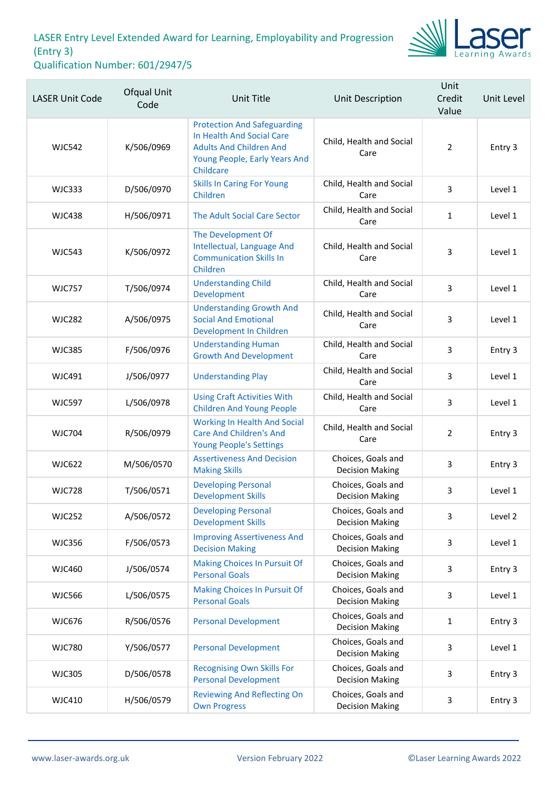

| <b>LASER Unit Code</b> | Ofqual Unit<br>Code | Unit Title                                                                                                                                      | Unit Description                             | Unit<br>Credit<br>Value | Unit Level |
|------------------------|---------------------|-------------------------------------------------------------------------------------------------------------------------------------------------|----------------------------------------------|-------------------------|------------|
| <b>WJC542</b>          | K/506/0969          | <b>Protection And Safeguarding</b><br>In Health And Social Care<br><b>Adults And Children And</b><br>Young People, Early Years And<br>Childcare | Child, Health and Social<br>Care             | $\overline{2}$          | Entry 3    |
| <b>WJC333</b>          | D/506/0970          | <b>Skills In Caring For Young</b><br>Children                                                                                                   | Child, Health and Social<br>Care             | 3                       | Level 1    |
| <b>WJC438</b>          | H/506/0971          | The Adult Social Care Sector                                                                                                                    | Child, Health and Social<br>Care             | $\mathbf{1}$            | Level 1    |
| <b>WJC543</b>          | K/506/0972          | The Development Of<br>Intellectual, Language And<br><b>Communication Skills In</b><br>Children                                                  | Child, Health and Social<br>Care             | 3                       | Level 1    |
| <b>WJC757</b>          | T/506/0974          | <b>Understanding Child</b><br>Development                                                                                                       | Child, Health and Social<br>Care             | 3                       | Level 1    |
| <b>WJC282</b>          | A/506/0975          | <b>Understanding Growth And</b><br><b>Social And Emotional</b><br>Development In Children                                                       | Child, Health and Social<br>Care             | $\overline{3}$          | Level 1    |
| <b>WJC385</b>          | F/506/0976          | <b>Understanding Human</b><br><b>Growth And Development</b>                                                                                     | Child, Health and Social<br>Care             | 3                       | Entry 3    |
| <b>WJC491</b>          | J/506/0977          | <b>Understanding Play</b>                                                                                                                       | Child, Health and Social<br>Care             | $\overline{3}$          | Level 1    |
| <b>WJC597</b>          | L/506/0978          | <b>Using Craft Activities With</b><br><b>Children And Young People</b>                                                                          | Child, Health and Social<br>Care             | 3                       | Level 1    |
| <b>WJC704</b>          | R/506/0979          | <b>Working In Health And Social</b><br><b>Care And Children's And</b><br><b>Young People's Settings</b>                                         | Child, Health and Social<br>Care             | $\overline{2}$          | Entry 3    |
| <b>WJC622</b>          | M/506/0570          | <b>Assertiveness And Decision</b><br><b>Making Skills</b>                                                                                       | Choices, Goals and<br><b>Decision Making</b> | 3                       | Entry 3    |
| <b>WJC728</b>          | T/506/0571          | <b>Developing Personal</b><br><b>Development Skills</b>                                                                                         | Choices, Goals and<br><b>Decision Making</b> | 3                       | Level 1    |
| <b>WJC252</b>          | A/506/0572          | <b>Developing Personal</b><br><b>Development Skills</b>                                                                                         | Choices, Goals and<br><b>Decision Making</b> | 3                       | Level 2    |
| <b>WJC356</b>          | F/506/0573          | <b>Improving Assertiveness And</b><br><b>Decision Making</b>                                                                                    | Choices, Goals and<br><b>Decision Making</b> | 3                       | Level 1    |
| <b>WJC460</b>          | J/506/0574          | <b>Making Choices In Pursuit Of</b><br><b>Personal Goals</b>                                                                                    | Choices, Goals and<br><b>Decision Making</b> | 3                       | Entry 3    |
| <b>WJC566</b>          | L/506/0575          | <b>Making Choices In Pursuit Of</b><br><b>Personal Goals</b>                                                                                    | Choices, Goals and<br><b>Decision Making</b> | 3                       | Level 1    |
| <b>WJC676</b>          | R/506/0576          | <b>Personal Development</b>                                                                                                                     | Choices, Goals and<br><b>Decision Making</b> | 1                       | Entry 3    |
| <b>WJC780</b>          | Y/506/0577          | <b>Personal Development</b>                                                                                                                     | Choices, Goals and<br><b>Decision Making</b> | 3                       | Level 1    |
| <b>WJC305</b>          | D/506/0578          | <b>Recognising Own Skills For</b><br><b>Personal Development</b>                                                                                | Choices, Goals and<br><b>Decision Making</b> | 3                       | Entry 3    |
| <b>WJC410</b>          | H/506/0579          | <b>Reviewing And Reflecting On</b><br><b>Own Progress</b>                                                                                       | Choices, Goals and<br><b>Decision Making</b> | 3                       | Entry 3    |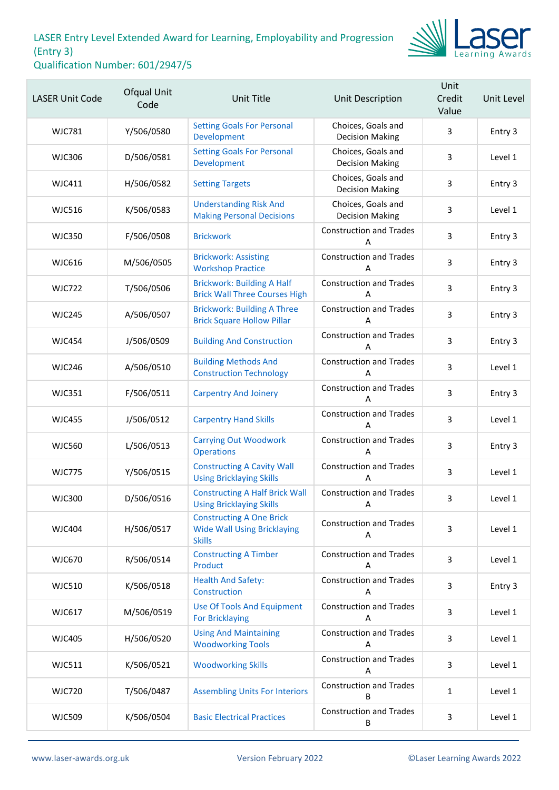

| <b>LASER Unit Code</b> | Ofqual Unit<br>Code | Unit Title                                                                             | Unit Description                             | Unit<br>Credit<br>Value | Unit Level |
|------------------------|---------------------|----------------------------------------------------------------------------------------|----------------------------------------------|-------------------------|------------|
| <b>WJC781</b>          | Y/506/0580          | <b>Setting Goals For Personal</b><br>Development                                       | Choices, Goals and<br><b>Decision Making</b> | 3                       | Entry 3    |
| <b>WJC306</b>          | D/506/0581          | <b>Setting Goals For Personal</b><br>Development                                       | Choices, Goals and<br><b>Decision Making</b> | 3                       | Level 1    |
| <b>WJC411</b>          | H/506/0582          | <b>Setting Targets</b>                                                                 | Choices, Goals and<br><b>Decision Making</b> | 3                       | Entry 3    |
| <b>WJC516</b>          | K/506/0583          | <b>Understanding Risk And</b><br><b>Making Personal Decisions</b>                      | Choices, Goals and<br><b>Decision Making</b> | 3                       | Level 1    |
| <b>WJC350</b>          | F/506/0508          | <b>Brickwork</b>                                                                       | <b>Construction and Trades</b><br>А          | $\mathsf{3}$            | Entry 3    |
| <b>WJC616</b>          | M/506/0505          | <b>Brickwork: Assisting</b><br><b>Workshop Practice</b>                                | <b>Construction and Trades</b><br>A          | 3                       | Entry 3    |
| <b>WJC722</b>          | T/506/0506          | <b>Brickwork: Building A Half</b><br><b>Brick Wall Three Courses High</b>              | <b>Construction and Trades</b><br>A          | 3                       | Entry 3    |
| <b>WJC245</b>          | A/506/0507          | <b>Brickwork: Building A Three</b><br><b>Brick Square Hollow Pillar</b>                | <b>Construction and Trades</b><br>А          | 3                       | Entry 3    |
| <b>WJC454</b>          | J/506/0509          | <b>Building And Construction</b>                                                       | <b>Construction and Trades</b><br>A          | 3                       | Entry 3    |
| <b>WJC246</b>          | A/506/0510          | <b>Building Methods And</b><br><b>Construction Technology</b>                          | <b>Construction and Trades</b><br>A          | 3                       | Level 1    |
| <b>WJC351</b>          | F/506/0511          | <b>Carpentry And Joinery</b>                                                           | <b>Construction and Trades</b><br>А          | $\mathsf{3}$            | Entry 3    |
| <b>WJC455</b>          | J/506/0512          | <b>Carpentry Hand Skills</b>                                                           | <b>Construction and Trades</b><br>Α          | 3                       | Level 1    |
| <b>WJC560</b>          | L/506/0513          | <b>Carrying Out Woodwork</b><br><b>Operations</b>                                      | <b>Construction and Trades</b><br>A          | 3                       | Entry 3    |
| <b>WJC775</b>          | Y/506/0515          | <b>Constructing A Cavity Wall</b><br><b>Using Bricklaying Skills</b>                   | <b>Construction and Trades</b><br>А          | $\mathsf{3}$            | Level 1    |
| <b>WJC300</b>          | D/506/0516          | <b>Constructing A Half Brick Wall</b><br><b>Using Bricklaying Skills</b>               | <b>Construction and Trades</b><br>Α          | 3                       | Level 1    |
| <b>WJC404</b>          | H/506/0517          | <b>Constructing A One Brick</b><br><b>Wide Wall Using Bricklaying</b><br><b>Skills</b> | <b>Construction and Trades</b><br>Α          | 3                       | Level 1    |
| <b>WJC670</b>          | R/506/0514          | <b>Constructing A Timber</b><br>Product                                                | <b>Construction and Trades</b><br>Α          | 3                       | Level 1    |
| <b>WJC510</b>          | K/506/0518          | <b>Health And Safety:</b><br>Construction                                              | <b>Construction and Trades</b><br>Α          | 3                       | Entry 3    |
| <b>WJC617</b>          | M/506/0519          | <b>Use Of Tools And Equipment</b><br><b>For Bricklaying</b>                            | <b>Construction and Trades</b><br>Α          | 3                       | Level 1    |
| <b>WJC405</b>          | H/506/0520          | <b>Using And Maintaining</b><br><b>Woodworking Tools</b>                               | <b>Construction and Trades</b><br>Α          | 3                       | Level 1    |
| <b>WJC511</b>          | K/506/0521          | <b>Woodworking Skills</b>                                                              | <b>Construction and Trades</b><br>Α          | 3                       | Level 1    |
| <b>WJC720</b>          | T/506/0487          | <b>Assembling Units For Interiors</b>                                                  | <b>Construction and Trades</b><br>B          | $\mathbf{1}$            | Level 1    |
| <b>WJC509</b>          | K/506/0504          | <b>Basic Electrical Practices</b>                                                      | <b>Construction and Trades</b><br>В          | $\mathbf{3}$            | Level 1    |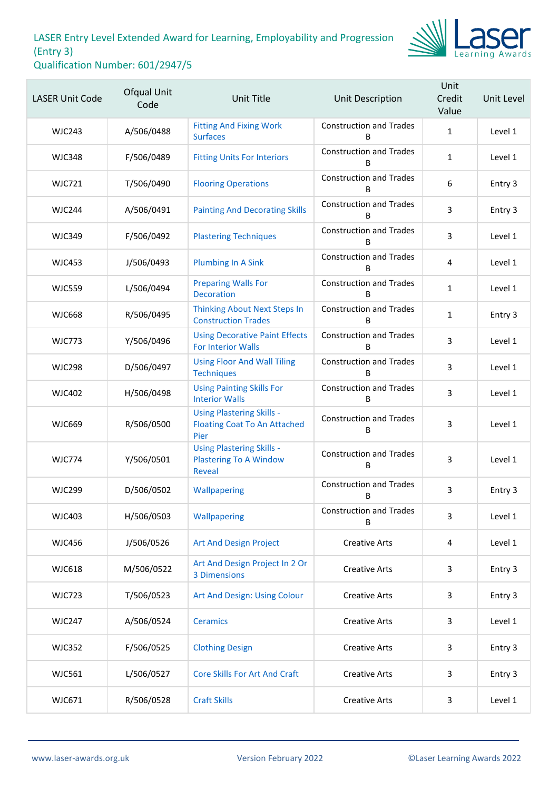

| <b>LASER Unit Code</b> | Ofqual Unit<br>Code | <b>Unit Title</b>                                                                  | Unit Description                    | Unit<br>Credit<br>Value | Unit Level |
|------------------------|---------------------|------------------------------------------------------------------------------------|-------------------------------------|-------------------------|------------|
| <b>WJC243</b>          | A/506/0488          | <b>Fitting And Fixing Work</b><br><b>Surfaces</b>                                  | <b>Construction and Trades</b><br>R | $\mathbf{1}$            | Level 1    |
| <b>WJC348</b>          | F/506/0489          | <b>Fitting Units For Interiors</b>                                                 | <b>Construction and Trades</b><br>B | $\mathbf{1}$            | Level 1    |
| <b>WJC721</b>          | T/506/0490          | <b>Flooring Operations</b>                                                         | <b>Construction and Trades</b><br>B | 6                       | Entry 3    |
| <b>WJC244</b>          | A/506/0491          | <b>Painting And Decorating Skills</b>                                              | <b>Construction and Trades</b><br>B | 3                       | Entry 3    |
| <b>WJC349</b>          | F/506/0492          | <b>Plastering Techniques</b>                                                       | <b>Construction and Trades</b><br>B | $\overline{3}$          | Level 1    |
| <b>WJC453</b>          | J/506/0493          | <b>Plumbing In A Sink</b>                                                          | <b>Construction and Trades</b><br>B | 4                       | Level 1    |
| <b>WJC559</b>          | L/506/0494          | <b>Preparing Walls For</b><br><b>Decoration</b>                                    | <b>Construction and Trades</b><br>B | $\mathbf{1}$            | Level 1    |
| <b>WJC668</b>          | R/506/0495          | <b>Thinking About Next Steps In</b><br><b>Construction Trades</b>                  | <b>Construction and Trades</b><br>B | $\mathbf{1}$            | Entry 3    |
| <b>WJC773</b>          | Y/506/0496          | <b>Using Decorative Paint Effects</b><br><b>For Interior Walls</b>                 | <b>Construction and Trades</b><br>B | 3                       | Level 1    |
| <b>WJC298</b>          | D/506/0497          | <b>Using Floor And Wall Tiling</b><br><b>Techniques</b>                            | <b>Construction and Trades</b><br>B | 3                       | Level 1    |
| <b>WJC402</b>          | H/506/0498          | <b>Using Painting Skills For</b><br><b>Interior Walls</b>                          | <b>Construction and Trades</b><br>B | 3                       | Level 1    |
| <b>WJC669</b>          | R/506/0500          | <b>Using Plastering Skills -</b><br><b>Floating Coat To An Attached</b><br>Pier    | <b>Construction and Trades</b><br>В | 3                       | Level 1    |
| <b>WJC774</b>          | Y/506/0501          | <b>Using Plastering Skills -</b><br><b>Plastering To A Window</b><br><b>Reveal</b> | <b>Construction and Trades</b><br>В | 3                       | Level 1    |
| <b>WJC299</b>          | D/506/0502          | Wallpapering                                                                       | <b>Construction and Trades</b><br>В | 3                       | Entry 3    |
| <b>WJC403</b>          | H/506/0503          | Wallpapering                                                                       | <b>Construction and Trades</b><br>B | 3                       | Level 1    |
| <b>WJC456</b>          | J/506/0526          | Art And Design Project                                                             | <b>Creative Arts</b>                | 4                       | Level 1    |
| <b>WJC618</b>          | M/506/0522          | Art And Design Project In 2 Or<br>3 Dimensions                                     | <b>Creative Arts</b>                | 3                       | Entry 3    |
| <b>WJC723</b>          | T/506/0523          | Art And Design: Using Colour                                                       | <b>Creative Arts</b>                | 3                       | Entry 3    |
| <b>WJC247</b>          | A/506/0524          | <b>Ceramics</b>                                                                    | <b>Creative Arts</b>                | 3                       | Level 1    |
| <b>WJC352</b>          | F/506/0525          | <b>Clothing Design</b>                                                             | <b>Creative Arts</b>                | 3                       | Entry 3    |
| <b>WJC561</b>          | L/506/0527          | <b>Core Skills For Art And Craft</b>                                               | <b>Creative Arts</b>                | 3                       | Entry 3    |
| WJC671                 | R/506/0528          | <b>Craft Skills</b>                                                                | <b>Creative Arts</b>                | 3                       | Level 1    |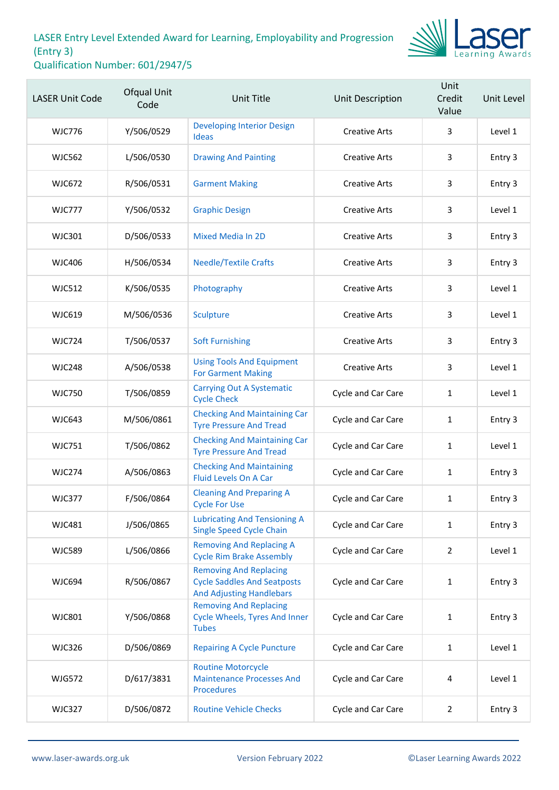

| <b>LASER Unit Code</b> | Ofqual Unit<br>Code | <b>Unit Title</b>                                                                                      | <b>Unit Description</b> | Unit<br>Credit<br>Value | Unit Level |
|------------------------|---------------------|--------------------------------------------------------------------------------------------------------|-------------------------|-------------------------|------------|
| <b>WJC776</b>          | Y/506/0529          | <b>Developing Interior Design</b><br><b>Ideas</b>                                                      | <b>Creative Arts</b>    | 3                       | Level 1    |
| <b>WJC562</b>          | L/506/0530          | <b>Drawing And Painting</b>                                                                            | <b>Creative Arts</b>    | 3                       | Entry 3    |
| <b>WJC672</b>          | R/506/0531          | <b>Garment Making</b>                                                                                  | <b>Creative Arts</b>    | 3                       | Entry 3    |
| <b>WJC777</b>          | Y/506/0532          | <b>Graphic Design</b>                                                                                  | <b>Creative Arts</b>    | 3                       | Level 1    |
| <b>WJC301</b>          | D/506/0533          | <b>Mixed Media In 2D</b>                                                                               | <b>Creative Arts</b>    | 3                       | Entry 3    |
| <b>WJC406</b>          | H/506/0534          | <b>Needle/Textile Crafts</b>                                                                           | <b>Creative Arts</b>    | 3                       | Entry 3    |
| <b>WJC512</b>          | K/506/0535          | Photography                                                                                            | <b>Creative Arts</b>    | 3                       | Level 1    |
| <b>WJC619</b>          | M/506/0536          | Sculpture                                                                                              | <b>Creative Arts</b>    | 3                       | Level 1    |
| <b>WJC724</b>          | T/506/0537          | <b>Soft Furnishing</b>                                                                                 | <b>Creative Arts</b>    | 3                       | Entry 3    |
| <b>WJC248</b>          | A/506/0538          | <b>Using Tools And Equipment</b><br><b>For Garment Making</b>                                          | <b>Creative Arts</b>    | 3                       | Level 1    |
| <b>WJC750</b>          | T/506/0859          | <b>Carrying Out A Systematic</b><br><b>Cycle Check</b>                                                 | Cycle and Car Care      | $\mathbf{1}$            | Level 1    |
| <b>WJC643</b>          | M/506/0861          | <b>Checking And Maintaining Car</b><br><b>Tyre Pressure And Tread</b>                                  | Cycle and Car Care      | 1                       | Entry 3    |
| <b>WJC751</b>          | T/506/0862          | <b>Checking And Maintaining Car</b><br><b>Tyre Pressure And Tread</b>                                  | Cycle and Car Care      | $\mathbf{1}$            | Level 1    |
| <b>WJC274</b>          | A/506/0863          | <b>Checking And Maintaining</b><br>Fluid Levels On A Car                                               | Cycle and Car Care      | $\mathbf{1}$            | Entry 3    |
| <b>WJC377</b>          | F/506/0864          | <b>Cleaning And Preparing A</b><br><b>Cycle For Use</b>                                                | Cycle and Car Care      | 1                       | Entry 3    |
| <b>WJC481</b>          | J/506/0865          | <b>Lubricating And Tensioning A</b><br><b>Single Speed Cycle Chain</b>                                 | Cycle and Car Care      | $\mathbf{1}$            | Entry 3    |
| <b>WJC589</b>          | L/506/0866          | <b>Removing And Replacing A</b><br><b>Cycle Rim Brake Assembly</b>                                     | Cycle and Car Care      | $\overline{2}$          | Level 1    |
| <b>WJC694</b>          | R/506/0867          | <b>Removing And Replacing</b><br><b>Cycle Saddles And Seatposts</b><br><b>And Adjusting Handlebars</b> | Cycle and Car Care      | $\mathbf{1}$            | Entry 3    |
| <b>WJC801</b>          | Y/506/0868          | <b>Removing And Replacing</b><br><b>Cycle Wheels, Tyres And Inner</b><br><b>Tubes</b>                  | Cycle and Car Care      | 1                       | Entry 3    |
| <b>WJC326</b>          | D/506/0869          | <b>Repairing A Cycle Puncture</b>                                                                      | Cycle and Car Care      | $\mathbf{1}$            | Level 1    |
| <b>WJG572</b>          | D/617/3831          | <b>Routine Motorcycle</b><br><b>Maintenance Processes And</b><br><b>Procedures</b>                     | Cycle and Car Care      | 4                       | Level 1    |
| <b>WJC327</b>          | D/506/0872          | <b>Routine Vehicle Checks</b>                                                                          | Cycle and Car Care      | $\overline{2}$          | Entry 3    |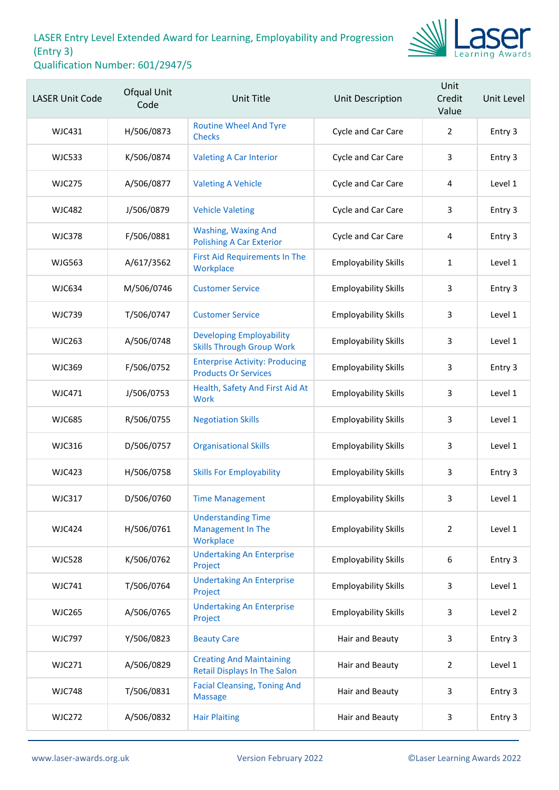

| <b>LASER Unit Code</b> | Ofqual Unit<br>Code | <b>Unit Title</b>                                                      | Unit Description            | Unit<br>Credit<br>Value | Unit Level |
|------------------------|---------------------|------------------------------------------------------------------------|-----------------------------|-------------------------|------------|
| <b>WJC431</b>          | H/506/0873          | <b>Routine Wheel And Tyre</b><br><b>Checks</b>                         | Cycle and Car Care          | $\overline{2}$          | Entry 3    |
| <b>WJC533</b>          | K/506/0874          | <b>Valeting A Car Interior</b>                                         | Cycle and Car Care          | 3                       | Entry 3    |
| <b>WJC275</b>          | A/506/0877          | <b>Valeting A Vehicle</b>                                              | Cycle and Car Care          | 4                       | Level 1    |
| <b>WJC482</b>          | J/506/0879          | <b>Vehicle Valeting</b>                                                | Cycle and Car Care          | 3                       | Entry 3    |
| <b>WJC378</b>          | F/506/0881          | <b>Washing, Waxing And</b><br><b>Polishing A Car Exterior</b>          | Cycle and Car Care          | 4                       | Entry 3    |
| <b>WJG563</b>          | A/617/3562          | First Aid Requirements In The<br>Workplace                             | <b>Employability Skills</b> | 1                       | Level 1    |
| <b>WJC634</b>          | M/506/0746          | <b>Customer Service</b>                                                | <b>Employability Skills</b> | 3                       | Entry 3    |
| <b>WJC739</b>          | T/506/0747          | <b>Customer Service</b>                                                | <b>Employability Skills</b> | 3                       | Level 1    |
| <b>WJC263</b>          | A/506/0748          | <b>Developing Employability</b><br><b>Skills Through Group Work</b>    | <b>Employability Skills</b> | 3                       | Level 1    |
| <b>WJC369</b>          | F/506/0752          | <b>Enterprise Activity: Producing</b><br><b>Products Or Services</b>   | <b>Employability Skills</b> | 3                       | Entry 3    |
| <b>WJC471</b>          | J/506/0753          | Health, Safety And First Aid At<br>Work                                | <b>Employability Skills</b> | 3                       | Level 1    |
| <b>WJC685</b>          | R/506/0755          | <b>Negotiation Skills</b>                                              | <b>Employability Skills</b> | 3                       | Level 1    |
| <b>WJC316</b>          | D/506/0757          | <b>Organisational Skills</b>                                           | <b>Employability Skills</b> | 3                       | Level 1    |
| <b>WJC423</b>          | H/506/0758          | <b>Skills For Employability</b>                                        | <b>Employability Skills</b> | 3                       | Entry 3    |
| <b>WJC317</b>          | D/506/0760          | <b>Time Management</b>                                                 | <b>Employability Skills</b> | 3                       | Level 1    |
| <b>WJC424</b>          | H/506/0761          | <b>Understanding Time</b><br>Management In The<br>Workplace            | <b>Employability Skills</b> | $\overline{2}$          | Level 1    |
| <b>WJC528</b>          | K/506/0762          | <b>Undertaking An Enterprise</b><br>Project                            | <b>Employability Skills</b> | 6                       | Entry 3    |
| <b>WJC741</b>          | T/506/0764          | <b>Undertaking An Enterprise</b><br>Project                            | <b>Employability Skills</b> | 3                       | Level 1    |
| <b>WJC265</b>          | A/506/0765          | <b>Undertaking An Enterprise</b><br>Project                            | <b>Employability Skills</b> | 3                       | Level 2    |
| <b>WJC797</b>          | Y/506/0823          | <b>Beauty Care</b>                                                     | Hair and Beauty             | 3                       | Entry 3    |
| <b>WJC271</b>          | A/506/0829          | <b>Creating And Maintaining</b><br><b>Retail Displays In The Salon</b> | Hair and Beauty             | $\overline{2}$          | Level 1    |
| <b>WJC748</b>          | T/506/0831          | <b>Facial Cleansing, Toning And</b><br><b>Massage</b>                  | Hair and Beauty             | 3                       | Entry 3    |
| <b>WJC272</b>          | A/506/0832          | <b>Hair Plaiting</b>                                                   | Hair and Beauty             | 3                       | Entry 3    |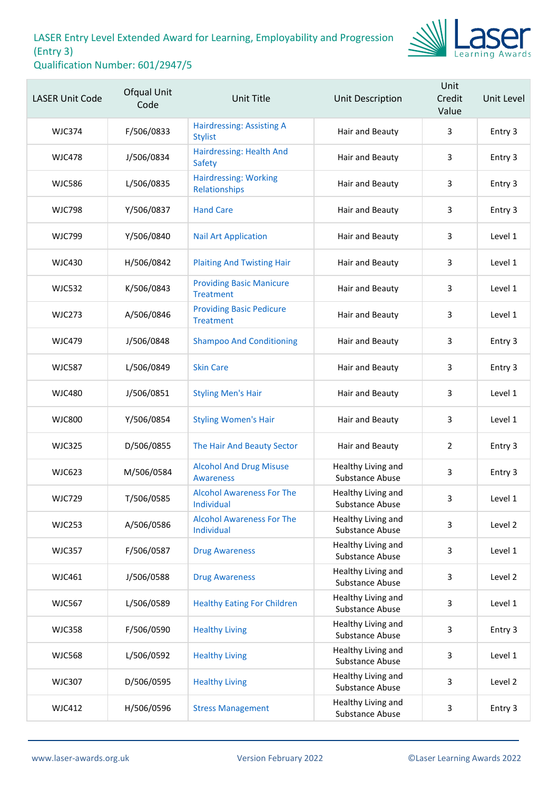

| <b>LASER Unit Code</b> | Ofqual Unit<br>Code | <b>Unit Title</b>                                   | Unit Description                             | Unit<br>Credit<br>Value | Unit Level |
|------------------------|---------------------|-----------------------------------------------------|----------------------------------------------|-------------------------|------------|
| <b>WJC374</b>          | F/506/0833          | <b>Hairdressing: Assisting A</b><br><b>Stylist</b>  | Hair and Beauty                              | 3                       | Entry 3    |
| <b>WJC478</b>          | J/506/0834          | Hairdressing: Health And<br>Safety                  | Hair and Beauty                              | 3                       | Entry 3    |
| <b>WJC586</b>          | L/506/0835          | <b>Hairdressing: Working</b><br>Relationships       | Hair and Beauty                              | 3                       | Entry 3    |
| <b>WJC798</b>          | Y/506/0837          | <b>Hand Care</b>                                    | Hair and Beauty                              | 3                       | Entry 3    |
| <b>WJC799</b>          | Y/506/0840          | <b>Nail Art Application</b>                         | Hair and Beauty                              | 3                       | Level 1    |
| <b>WJC430</b>          | H/506/0842          | <b>Plaiting And Twisting Hair</b>                   | Hair and Beauty                              | 3                       | Level 1    |
| <b>WJC532</b>          | K/506/0843          | <b>Providing Basic Manicure</b><br><b>Treatment</b> | Hair and Beauty                              | 3                       | Level 1    |
| <b>WJC273</b>          | A/506/0846          | <b>Providing Basic Pedicure</b><br><b>Treatment</b> | Hair and Beauty                              | 3                       | Level 1    |
| <b>WJC479</b>          | J/506/0848          | <b>Shampoo And Conditioning</b>                     | Hair and Beauty                              | 3                       | Entry 3    |
| <b>WJC587</b>          | L/506/0849          | <b>Skin Care</b>                                    | Hair and Beauty                              | 3                       | Entry 3    |
| <b>WJC480</b>          | J/506/0851          | <b>Styling Men's Hair</b>                           | Hair and Beauty                              | 3                       | Level 1    |
| <b>WJC800</b>          | Y/506/0854          | <b>Styling Women's Hair</b>                         | Hair and Beauty                              | 3                       | Level 1    |
| <b>WJC325</b>          | D/506/0855          | The Hair And Beauty Sector                          | Hair and Beauty                              | $\overline{2}$          | Entry 3    |
| <b>WJC623</b>          | M/506/0584          | <b>Alcohol And Drug Misuse</b><br><b>Awareness</b>  | Healthy Living and<br>Substance Abuse        | 3                       | Entry 3    |
| <b>WJC729</b>          | T/506/0585          | <b>Alcohol Awareness For The</b><br>Individual      | Healthy Living and<br>Substance Abuse        | 3                       | Level 1    |
| <b>WJC253</b>          | A/506/0586          | <b>Alcohol Awareness For The</b><br>Individual      | Healthy Living and<br>Substance Abuse        | 3                       | Level 2    |
| <b>WJC357</b>          | F/506/0587          | <b>Drug Awareness</b>                               | Healthy Living and<br>Substance Abuse        | 3                       | Level 1    |
| WJC461                 | J/506/0588          | <b>Drug Awareness</b>                               | Healthy Living and<br>Substance Abuse        | 3                       | Level 2    |
| <b>WJC567</b>          | L/506/0589          | <b>Healthy Eating For Children</b>                  | Healthy Living and<br>Substance Abuse        | 3                       | Level 1    |
| <b>WJC358</b>          | F/506/0590          | <b>Healthy Living</b>                               | Healthy Living and<br>Substance Abuse        | 3                       | Entry 3    |
| <b>WJC568</b>          | L/506/0592          | <b>Healthy Living</b>                               | Healthy Living and<br>Substance Abuse        | 3                       | Level 1    |
| <b>WJC307</b>          | D/506/0595          | <b>Healthy Living</b>                               | Healthy Living and<br>Substance Abuse        | 3                       | Level 2    |
| <b>WJC412</b>          | H/506/0596          | <b>Stress Management</b>                            | Healthy Living and<br><b>Substance Abuse</b> | 3                       | Entry 3    |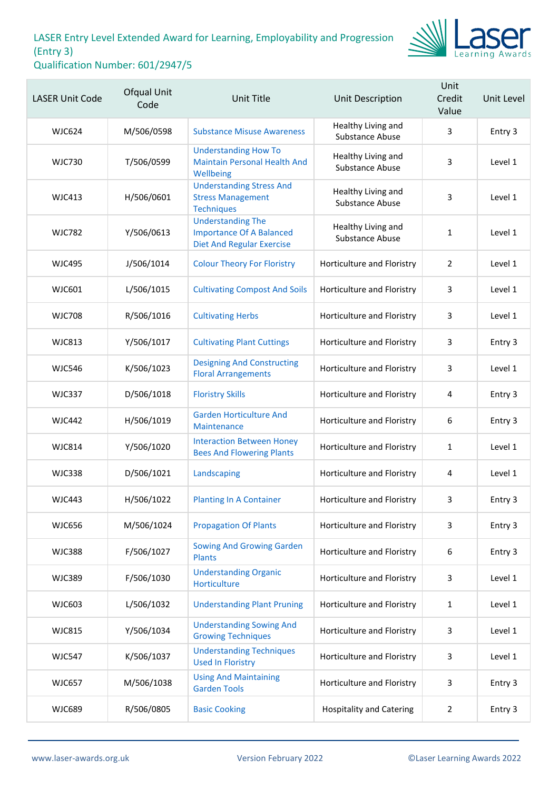

| <b>LASER Unit Code</b> | Ofqual Unit<br>Code | <b>Unit Title</b>                                                                               | <b>Unit Description</b>                      | Unit<br>Credit<br>Value | Unit Level |
|------------------------|---------------------|-------------------------------------------------------------------------------------------------|----------------------------------------------|-------------------------|------------|
| <b>WJC624</b>          | M/506/0598          | <b>Substance Misuse Awareness</b>                                                               | Healthy Living and<br><b>Substance Abuse</b> | 3                       | Entry 3    |
| <b>WJC730</b>          | T/506/0599          | <b>Understanding How To</b><br><b>Maintain Personal Health And</b><br>Wellbeing                 | Healthy Living and<br>Substance Abuse        | 3                       | Level 1    |
| <b>WJC413</b>          | H/506/0601          | <b>Understanding Stress And</b><br><b>Stress Management</b><br><b>Techniques</b>                | Healthy Living and<br>Substance Abuse        | 3                       | Level 1    |
| <b>WJC782</b>          | Y/506/0613          | <b>Understanding The</b><br><b>Importance Of A Balanced</b><br><b>Diet And Regular Exercise</b> | Healthy Living and<br>Substance Abuse        | $\mathbf{1}$            | Level 1    |
| <b>WJC495</b>          | J/506/1014          | <b>Colour Theory For Floristry</b>                                                              | Horticulture and Floristry                   | $\overline{2}$          | Level 1    |
| WJC601                 | L/506/1015          | <b>Cultivating Compost And Soils</b>                                                            | Horticulture and Floristry                   | 3                       | Level 1    |
| <b>WJC708</b>          | R/506/1016          | <b>Cultivating Herbs</b>                                                                        | Horticulture and Floristry                   | 3                       | Level 1    |
| <b>WJC813</b>          | Y/506/1017          | <b>Cultivating Plant Cuttings</b>                                                               | Horticulture and Floristry                   | 3                       | Entry 3    |
| <b>WJC546</b>          | K/506/1023          | <b>Designing And Constructing</b><br><b>Floral Arrangements</b>                                 | Horticulture and Floristry                   | 3                       | Level 1    |
| <b>WJC337</b>          | D/506/1018          | <b>Floristry Skills</b>                                                                         | Horticulture and Floristry                   | 4                       | Entry 3    |
| <b>WJC442</b>          | H/506/1019          | <b>Garden Horticulture And</b><br><b>Maintenance</b>                                            | Horticulture and Floristry                   | 6                       | Entry 3    |
| <b>WJC814</b>          | Y/506/1020          | <b>Interaction Between Honey</b><br><b>Bees And Flowering Plants</b>                            | Horticulture and Floristry                   | $\mathbf{1}$            | Level 1    |
| <b>WJC338</b>          | D/506/1021          | Landscaping                                                                                     | Horticulture and Floristry                   | 4                       | Level 1    |
| <b>WJC443</b>          | H/506/1022          | <b>Planting In A Container</b>                                                                  | Horticulture and Floristry                   | 3                       | Entry 3    |
| <b>WJC656</b>          | M/506/1024          | <b>Propagation Of Plants</b>                                                                    | Horticulture and Floristry                   | 3                       | Entry 3    |
| <b>WJC388</b>          | F/506/1027          | <b>Sowing And Growing Garden</b><br><b>Plants</b>                                               | Horticulture and Floristry                   | 6                       | Entry 3    |
| <b>WJC389</b>          | F/506/1030          | <b>Understanding Organic</b><br>Horticulture                                                    | Horticulture and Floristry                   | 3                       | Level 1    |
| <b>WJC603</b>          | L/506/1032          | <b>Understanding Plant Pruning</b>                                                              | Horticulture and Floristry                   | 1                       | Level 1    |
| <b>WJC815</b>          | Y/506/1034          | <b>Understanding Sowing And</b><br><b>Growing Techniques</b>                                    | Horticulture and Floristry                   | 3                       | Level 1    |
| <b>WJC547</b>          | K/506/1037          | <b>Understanding Techniques</b><br><b>Used In Floristry</b>                                     | Horticulture and Floristry                   | 3                       | Level 1    |
| <b>WJC657</b>          | M/506/1038          | <b>Using And Maintaining</b><br><b>Garden Tools</b>                                             | Horticulture and Floristry                   | 3                       | Entry 3    |
| <b>WJC689</b>          | R/506/0805          | <b>Basic Cooking</b>                                                                            | <b>Hospitality and Catering</b>              | 2                       | Entry 3    |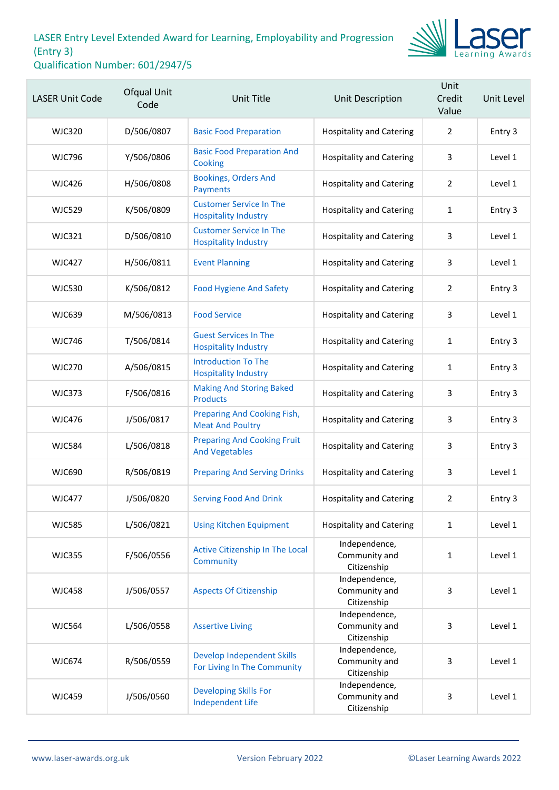

| <b>LASER Unit Code</b> | Ofqual Unit<br>Code | <b>Unit Title</b>                                             | Unit Description                              | Unit<br>Credit<br>Value | Unit Level |
|------------------------|---------------------|---------------------------------------------------------------|-----------------------------------------------|-------------------------|------------|
| <b>WJC320</b>          | D/506/0807          | <b>Basic Food Preparation</b>                                 | <b>Hospitality and Catering</b>               | $\overline{2}$          | Entry 3    |
| <b>WJC796</b>          | Y/506/0806          | <b>Basic Food Preparation And</b><br>Cooking                  | <b>Hospitality and Catering</b>               | 3                       | Level 1    |
| <b>WJC426</b>          | H/506/0808          | <b>Bookings, Orders And</b><br>Payments                       | <b>Hospitality and Catering</b>               | $\overline{2}$          | Level 1    |
| <b>WJC529</b>          | K/506/0809          | <b>Customer Service In The</b><br><b>Hospitality Industry</b> | <b>Hospitality and Catering</b>               | 1                       | Entry 3    |
| <b>WJC321</b>          | D/506/0810          | <b>Customer Service In The</b><br><b>Hospitality Industry</b> | <b>Hospitality and Catering</b>               | 3                       | Level 1    |
| <b>WJC427</b>          | H/506/0811          | <b>Event Planning</b>                                         | <b>Hospitality and Catering</b>               | 3                       | Level 1    |
| <b>WJC530</b>          | K/506/0812          | <b>Food Hygiene And Safety</b>                                | <b>Hospitality and Catering</b>               | $\overline{2}$          | Entry 3    |
| <b>WJC639</b>          | M/506/0813          | <b>Food Service</b>                                           | <b>Hospitality and Catering</b>               | 3                       | Level 1    |
| <b>WJC746</b>          | T/506/0814          | <b>Guest Services In The</b><br><b>Hospitality Industry</b>   | <b>Hospitality and Catering</b>               | 1                       | Entry 3    |
| <b>WJC270</b>          | A/506/0815          | <b>Introduction To The</b><br><b>Hospitality Industry</b>     | <b>Hospitality and Catering</b>               | $\mathbf{1}$            | Entry 3    |
| <b>WJC373</b>          | F/506/0816          | <b>Making And Storing Baked</b><br><b>Products</b>            | <b>Hospitality and Catering</b>               | 3                       | Entry 3    |
| <b>WJC476</b>          | J/506/0817          | Preparing And Cooking Fish,<br><b>Meat And Poultry</b>        | <b>Hospitality and Catering</b>               | 3                       | Entry 3    |
| <b>WJC584</b>          | L/506/0818          | <b>Preparing And Cooking Fruit</b><br><b>And Vegetables</b>   | <b>Hospitality and Catering</b>               | 3                       | Entry 3    |
| <b>WJC690</b>          | R/506/0819          | <b>Preparing And Serving Drinks</b>                           | <b>Hospitality and Catering</b>               | 3                       | Level 1    |
| <b>WJC477</b>          | J/506/0820          | <b>Serving Food And Drink</b>                                 | <b>Hospitality and Catering</b>               | $\overline{2}$          | Entry 3    |
| <b>WJC585</b>          | L/506/0821          | <b>Using Kitchen Equipment</b>                                | <b>Hospitality and Catering</b>               | $\mathbf{1}$            | Level 1    |
| <b>WJC355</b>          | F/506/0556          | Active Citizenship In The Local<br>Community                  | Independence,<br>Community and<br>Citizenship | $\mathbf{1}$            | Level 1    |
| <b>WJC458</b>          | J/506/0557          | <b>Aspects Of Citizenship</b>                                 | Independence,<br>Community and<br>Citizenship | 3                       | Level 1    |
| <b>WJC564</b>          | L/506/0558          | <b>Assertive Living</b>                                       | Independence,<br>Community and<br>Citizenship | 3                       | Level 1    |
| <b>WJC674</b>          | R/506/0559          | Develop Independent Skills<br>For Living In The Community     | Independence,<br>Community and<br>Citizenship | 3                       | Level 1    |
| <b>WJC459</b>          | J/506/0560          | <b>Developing Skills For</b><br><b>Independent Life</b>       | Independence,<br>Community and<br>Citizenship | 3                       | Level 1    |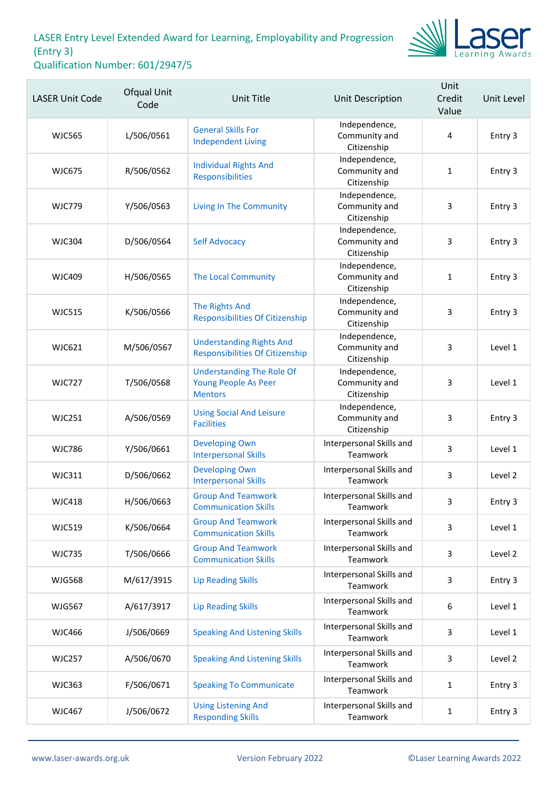

| <b>LASER Unit Code</b> | Ofqual Unit<br>Code | <b>Unit Title</b>                                                          | Unit Description                              | Unit<br>Credit<br>Value | Unit Level |
|------------------------|---------------------|----------------------------------------------------------------------------|-----------------------------------------------|-------------------------|------------|
| <b>WJC565</b>          | L/506/0561          | <b>General Skills For</b><br><b>Independent Living</b>                     | Independence,<br>Community and<br>Citizenship | 4                       | Entry 3    |
| <b>WJC675</b>          | R/506/0562          | <b>Individual Rights And</b><br><b>Responsibilities</b>                    | Independence,<br>Community and<br>Citizenship | 1                       | Entry 3    |
| <b>WJC779</b>          | Y/506/0563          | <b>Living In The Community</b>                                             | Independence,<br>Community and<br>Citizenship | 3                       | Entry 3    |
| <b>WJC304</b>          | D/506/0564          | <b>Self Advocacy</b>                                                       | Independence,<br>Community and<br>Citizenship | 3                       | Entry 3    |
| <b>WJC409</b>          | H/506/0565          | <b>The Local Community</b>                                                 | Independence,<br>Community and<br>Citizenship | $\mathbf{1}$            | Entry 3    |
| <b>WJC515</b>          | K/506/0566          | <b>The Rights And</b><br><b>Responsibilities Of Citizenship</b>            | Independence,<br>Community and<br>Citizenship | 3                       | Entry 3    |
| <b>WJC621</b>          | M/506/0567          | <b>Understanding Rights And</b><br><b>Responsibilities Of Citizenship</b>  | Independence,<br>Community and<br>Citizenship | 3                       | Level 1    |
| <b>WJC727</b>          | T/506/0568          | <b>Understanding The Role Of</b><br>Young People As Peer<br><b>Mentors</b> | Independence,<br>Community and<br>Citizenship | 3                       | Level 1    |
| <b>WJC251</b>          | A/506/0569          | <b>Using Social And Leisure</b><br><b>Facilities</b>                       | Independence,<br>Community and<br>Citizenship | 3                       | Entry 3    |
| <b>WJC786</b>          | Y/506/0661          | <b>Developing Own</b><br><b>Interpersonal Skills</b>                       | Interpersonal Skills and<br>Teamwork          | 3                       | Level 1    |
| <b>WJC311</b>          | D/506/0662          | <b>Developing Own</b><br><b>Interpersonal Skills</b>                       | Interpersonal Skills and<br>Teamwork          | 3                       | Level 2    |
| <b>WJC418</b>          | H/506/0663          | <b>Group And Teamwork</b><br><b>Communication Skills</b>                   | Interpersonal Skills and<br>Teamwork          | 3                       | Entry 3    |
| <b>WJC519</b>          | K/506/0664          | <b>Group And Teamwork</b><br><b>Communication Skills</b>                   | Interpersonal Skills and<br>Teamwork          | 3                       | Level 1    |
| <b>WJC735</b>          | T/506/0666          | <b>Group And Teamwork</b><br><b>Communication Skills</b>                   | Interpersonal Skills and<br>Teamwork          | 3                       | Level 2    |
| <b>WJG568</b>          | M/617/3915          | <b>Lip Reading Skills</b>                                                  | Interpersonal Skills and<br>Teamwork          | 3                       | Entry 3    |
| <b>WJG567</b>          | A/617/3917          | <b>Lip Reading Skills</b>                                                  | Interpersonal Skills and<br>Teamwork          | 6                       | Level 1    |
| <b>WJC466</b>          | J/506/0669          | <b>Speaking And Listening Skills</b>                                       | Interpersonal Skills and<br>Teamwork          | 3                       | Level 1    |
| <b>WJC257</b>          | A/506/0670          | <b>Speaking And Listening Skills</b>                                       | Interpersonal Skills and<br>Teamwork          | 3                       | Level 2    |
| <b>WJC363</b>          | F/506/0671          | <b>Speaking To Communicate</b>                                             | Interpersonal Skills and<br>Teamwork          | $\mathbf{1}$            | Entry 3    |
| <b>WJC467</b>          | J/506/0672          | <b>Using Listening And</b><br><b>Responding Skills</b>                     | Interpersonal Skills and<br>Teamwork          | $\mathbf 1$             | Entry 3    |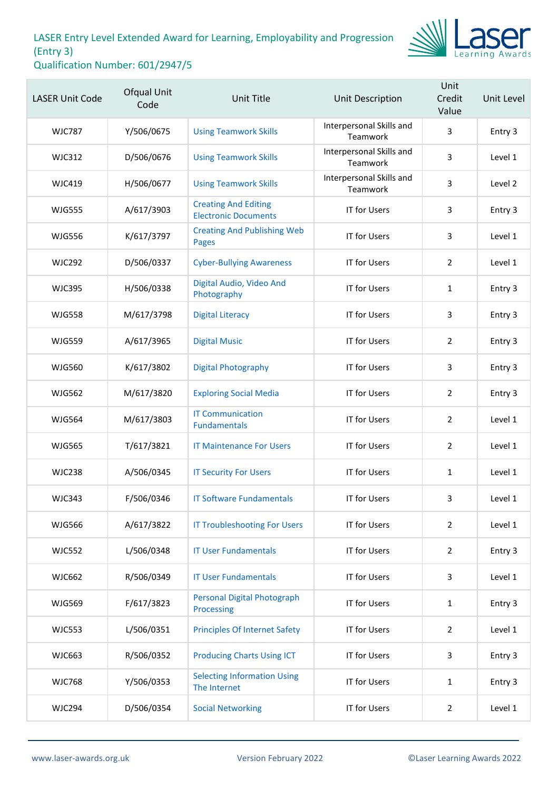

| <b>LASER Unit Code</b> | Ofqual Unit<br>Code | <b>Unit Title</b>                                          | <b>Unit Description</b>              | Unit<br>Credit<br>Value | Unit Level |
|------------------------|---------------------|------------------------------------------------------------|--------------------------------------|-------------------------|------------|
| <b>WJC787</b>          | Y/506/0675          | <b>Using Teamwork Skills</b>                               | Interpersonal Skills and<br>Teamwork | 3                       | Entry 3    |
| WJC312                 | D/506/0676          | <b>Using Teamwork Skills</b>                               | Interpersonal Skills and<br>Teamwork | 3                       | Level 1    |
| <b>WJC419</b>          | H/506/0677          | <b>Using Teamwork Skills</b>                               | Interpersonal Skills and<br>Teamwork | 3                       | Level 2    |
| <b>WJG555</b>          | A/617/3903          | <b>Creating And Editing</b><br><b>Electronic Documents</b> | <b>IT for Users</b>                  | 3                       | Entry 3    |
| <b>WJG556</b>          | K/617/3797          | <b>Creating And Publishing Web</b><br><b>Pages</b>         | <b>IT for Users</b>                  | 3                       | Level 1    |
| <b>WJC292</b>          | D/506/0337          | <b>Cyber-Bullying Awareness</b>                            | <b>IT for Users</b>                  | 2                       | Level 1    |
| <b>WJC395</b>          | H/506/0338          | Digital Audio, Video And<br>Photography                    | <b>IT for Users</b>                  | 1                       | Entry 3    |
| <b>WJG558</b>          | M/617/3798          | <b>Digital Literacy</b>                                    | <b>IT for Users</b>                  | 3                       | Entry 3    |
| <b>WJG559</b>          | A/617/3965          | <b>Digital Music</b>                                       | <b>IT for Users</b>                  | 2                       | Entry 3    |
| <b>WJG560</b>          | K/617/3802          | <b>Digital Photography</b>                                 | <b>IT for Users</b>                  | 3                       | Entry 3    |
| <b>WJG562</b>          | M/617/3820          | <b>Exploring Social Media</b>                              | <b>IT for Users</b>                  | $\overline{2}$          | Entry 3    |
| <b>WJG564</b>          | M/617/3803          | <b>IT Communication</b><br><b>Fundamentals</b>             | IT for Users                         | $\overline{2}$          | Level 1    |
| <b>WJG565</b>          | T/617/3821          | <b>IT Maintenance For Users</b>                            | <b>IT for Users</b>                  | $\overline{2}$          | Level 1    |
| <b>WJC238</b>          | A/506/0345          | <b>IT Security For Users</b>                               | <b>IT for Users</b>                  | $\mathbf{1}$            | Level 1    |
| <b>WJC343</b>          | F/506/0346          | <b>IT Software Fundamentals</b>                            | IT for Users                         | 3                       | Level 1    |
| <b>WJG566</b>          | A/617/3822          | <b>IT Troubleshooting For Users</b>                        | IT for Users                         | $\overline{2}$          | Level 1    |
| <b>WJC552</b>          | L/506/0348          | <b>IT User Fundamentals</b>                                | IT for Users                         | $\overline{2}$          | Entry 3    |
| <b>WJC662</b>          | R/506/0349          | <b>IT User Fundamentals</b>                                | IT for Users                         | 3                       | Level 1    |
| <b>WJG569</b>          | F/617/3823          | <b>Personal Digital Photograph</b><br>Processing           | <b>IT for Users</b>                  | $\mathbf{1}$            | Entry 3    |
| <b>WJC553</b>          | L/506/0351          | <b>Principles Of Internet Safety</b>                       | IT for Users                         | $\overline{2}$          | Level 1    |
| <b>WJC663</b>          | R/506/0352          | <b>Producing Charts Using ICT</b>                          | IT for Users                         | 3                       | Entry 3    |
| <b>WJC768</b>          | Y/506/0353          | <b>Selecting Information Using</b><br>The Internet         | IT for Users                         | $\mathbf{1}$            | Entry 3    |
| <b>WJC294</b>          | D/506/0354          | <b>Social Networking</b>                                   | <b>IT for Users</b>                  | $\overline{2}$          | Level 1    |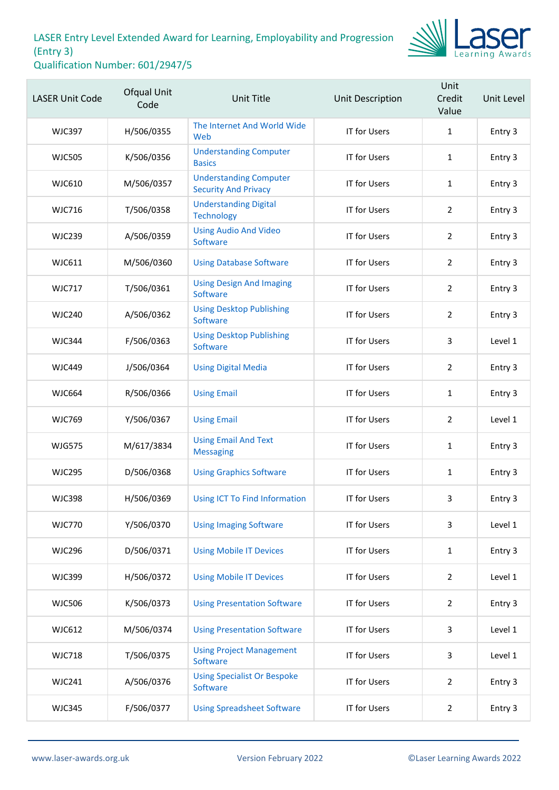

| <b>LASER Unit Code</b> | Ofqual Unit<br>Code | <b>Unit Title</b>                                            | Unit Description    | Unit<br>Credit<br>Value | Unit Level |
|------------------------|---------------------|--------------------------------------------------------------|---------------------|-------------------------|------------|
| <b>WJC397</b>          | H/506/0355          | The Internet And World Wide<br>Web                           | IT for Users        | $\mathbf{1}$            | Entry 3    |
| <b>WJC505</b>          | K/506/0356          | <b>Understanding Computer</b><br><b>Basics</b>               | <b>IT for Users</b> | $\mathbf{1}$            | Entry 3    |
| <b>WJC610</b>          | M/506/0357          | <b>Understanding Computer</b><br><b>Security And Privacy</b> | <b>IT for Users</b> | $\mathbf{1}$            | Entry 3    |
| <b>WJC716</b>          | T/506/0358          | <b>Understanding Digital</b><br><b>Technology</b>            | <b>IT for Users</b> | $\overline{2}$          | Entry 3    |
| <b>WJC239</b>          | A/506/0359          | <b>Using Audio And Video</b><br>Software                     | IT for Users        | $\overline{2}$          | Entry 3    |
| WJC611                 | M/506/0360          | <b>Using Database Software</b>                               | <b>IT for Users</b> | $\overline{2}$          | Entry 3    |
| <b>WJC717</b>          | T/506/0361          | <b>Using Design And Imaging</b><br>Software                  | <b>IT for Users</b> | $\overline{2}$          | Entry 3    |
| <b>WJC240</b>          | A/506/0362          | <b>Using Desktop Publishing</b><br>Software                  | <b>IT for Users</b> | $\overline{2}$          | Entry 3    |
| <b>WJC344</b>          | F/506/0363          | <b>Using Desktop Publishing</b><br>Software                  | <b>IT for Users</b> | 3                       | Level 1    |
| <b>WJC449</b>          | J/506/0364          | <b>Using Digital Media</b>                                   | <b>IT for Users</b> | $\overline{2}$          | Entry 3    |
| <b>WJC664</b>          | R/506/0366          | <b>Using Email</b>                                           | <b>IT for Users</b> | $\mathbf{1}$            | Entry 3    |
| <b>WJC769</b>          | Y/506/0367          | <b>Using Email</b>                                           | IT for Users        | $\overline{2}$          | Level 1    |
| <b>WJG575</b>          | M/617/3834          | <b>Using Email And Text</b><br><b>Messaging</b>              | IT for Users        | $\mathbf{1}$            | Entry 3    |
| <b>WJC295</b>          | D/506/0368          | <b>Using Graphics Software</b>                               | <b>IT for Users</b> | $\mathbf{1}$            | Entry 3    |
| <b>WJC398</b>          | H/506/0369          | Using ICT To Find Information                                | IT for Users        | 3                       | Entry 3    |
| <b>WJC770</b>          | Y/506/0370          | <b>Using Imaging Software</b>                                | <b>IT for Users</b> | 3                       | Level 1    |
| <b>WJC296</b>          | D/506/0371          | <b>Using Mobile IT Devices</b>                               | <b>IT for Users</b> | $\mathbf{1}$            | Entry 3    |
| <b>WJC399</b>          | H/506/0372          | <b>Using Mobile IT Devices</b>                               | IT for Users        | $\overline{2}$          | Level 1    |
| <b>WJC506</b>          | K/506/0373          | <b>Using Presentation Software</b>                           | <b>IT for Users</b> | $\overline{2}$          | Entry 3    |
| <b>WJC612</b>          | M/506/0374          | <b>Using Presentation Software</b>                           | IT for Users        | $\mathbf{3}$            | Level 1    |
| <b>WJC718</b>          | T/506/0375          | <b>Using Project Management</b><br>Software                  | IT for Users        | 3                       | Level 1    |
| <b>WJC241</b>          | A/506/0376          | <b>Using Specialist Or Bespoke</b><br>Software               | <b>IT for Users</b> | $\overline{2}$          | Entry 3    |
| <b>WJC345</b>          | F/506/0377          | <b>Using Spreadsheet Software</b>                            | <b>IT for Users</b> | $\overline{2}$          | Entry 3    |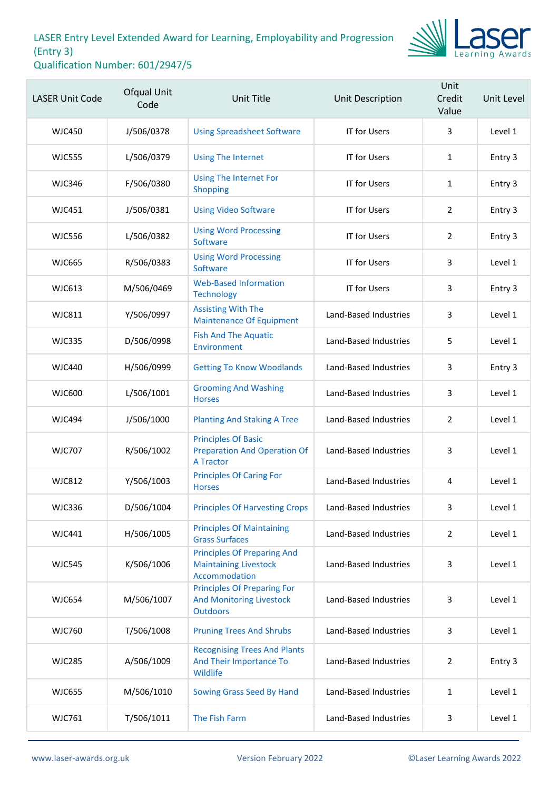

| <b>LASER Unit Code</b> | Ofqual Unit<br>Code | <b>Unit Title</b>                                                                        | <b>Unit Description</b> | Unit<br>Credit<br>Value | Unit Level |
|------------------------|---------------------|------------------------------------------------------------------------------------------|-------------------------|-------------------------|------------|
| <b>WJC450</b>          | J/506/0378          | <b>Using Spreadsheet Software</b>                                                        | IT for Users            | 3                       | Level 1    |
| <b>WJC555</b>          | L/506/0379          | <b>Using The Internet</b>                                                                | <b>IT for Users</b>     | $\mathbf{1}$            | Entry 3    |
| <b>WJC346</b>          | F/506/0380          | <b>Using The Internet For</b><br>Shopping                                                | IT for Users            | $\mathbf{1}$            | Entry 3    |
| <b>WJC451</b>          | J/506/0381          | <b>Using Video Software</b>                                                              | <b>IT for Users</b>     | $\overline{2}$          | Entry 3    |
| <b>WJC556</b>          | L/506/0382          | <b>Using Word Processing</b><br>Software                                                 | <b>IT for Users</b>     | 2                       | Entry 3    |
| <b>WJC665</b>          | R/506/0383          | <b>Using Word Processing</b><br>Software                                                 | <b>IT for Users</b>     | 3                       | Level 1    |
| <b>WJC613</b>          | M/506/0469          | <b>Web-Based Information</b><br><b>Technology</b>                                        | <b>IT for Users</b>     | 3                       | Entry 3    |
| <b>WJC811</b>          | Y/506/0997          | <b>Assisting With The</b><br><b>Maintenance Of Equipment</b>                             | Land-Based Industries   | 3                       | Level 1    |
| <b>WJC335</b>          | D/506/0998          | <b>Fish And The Aquatic</b><br>Environment                                               | Land-Based Industries   | 5                       | Level 1    |
| WJC440                 | H/506/0999          | <b>Getting To Know Woodlands</b>                                                         | Land-Based Industries   | 3                       | Entry 3    |
| <b>WJC600</b>          | L/506/1001          | <b>Grooming And Washing</b><br><b>Horses</b>                                             | Land-Based Industries   | 3                       | Level 1    |
| <b>WJC494</b>          | J/506/1000          | <b>Planting And Staking A Tree</b>                                                       | Land-Based Industries   | $\overline{2}$          | Level 1    |
| <b>WJC707</b>          | R/506/1002          | <b>Principles Of Basic</b><br><b>Preparation And Operation Of</b><br><b>A Tractor</b>    | Land-Based Industries   | 3                       | Level 1    |
| <b>WJC812</b>          | Y/506/1003          | <b>Principles Of Caring For</b><br><b>Horses</b>                                         | Land-Based Industries   | 4                       | Level 1    |
| <b>WJC336</b>          | D/506/1004          | <b>Principles Of Harvesting Crops</b>                                                    | Land-Based Industries   | 3                       | Level 1    |
| <b>WJC441</b>          | H/506/1005          | <b>Principles Of Maintaining</b><br><b>Grass Surfaces</b>                                | Land-Based Industries   | $\overline{2}$          | Level 1    |
| <b>WJC545</b>          | K/506/1006          | <b>Principles Of Preparing And</b><br><b>Maintaining Livestock</b><br>Accommodation      | Land-Based Industries   | 3                       | Level 1    |
| <b>WJC654</b>          | M/506/1007          | <b>Principles Of Preparing For</b><br><b>And Monitoring Livestock</b><br><b>Outdoors</b> | Land-Based Industries   | 3                       | Level 1    |
| <b>WJC760</b>          | T/506/1008          | <b>Pruning Trees And Shrubs</b>                                                          | Land-Based Industries   | 3                       | Level 1    |
| <b>WJC285</b>          | A/506/1009          | <b>Recognising Trees And Plants</b><br>And Their Importance To<br>Wildlife               | Land-Based Industries   | $\overline{2}$          | Entry 3    |
| <b>WJC655</b>          | M/506/1010          | Sowing Grass Seed By Hand                                                                | Land-Based Industries   | $\mathbf{1}$            | Level 1    |
| <b>WJC761</b>          | T/506/1011          | The Fish Farm                                                                            | Land-Based Industries   | 3                       | Level 1    |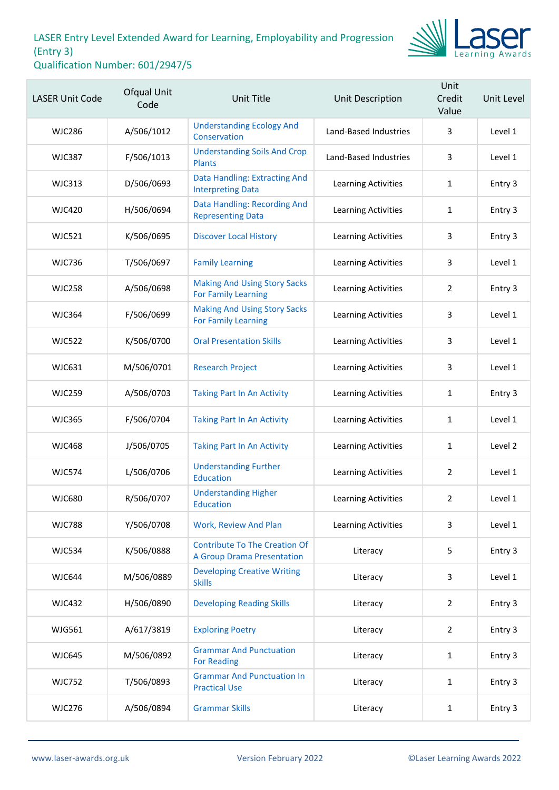

| <b>LASER Unit Code</b> | Ofqual Unit<br>Code | <b>Unit Title</b>                                                         | Unit Description           | Unit<br>Credit<br>Value | Unit Level |
|------------------------|---------------------|---------------------------------------------------------------------------|----------------------------|-------------------------|------------|
| WJC286                 | A/506/1012          | <b>Understanding Ecology And</b><br>Conservation                          | Land-Based Industries      | 3                       | Level 1    |
| <b>WJC387</b>          | F/506/1013          | <b>Understanding Soils And Crop</b><br><b>Plants</b>                      | Land-Based Industries      | 3                       | Level 1    |
| <b>WJC313</b>          | D/506/0693          | Data Handling: Extracting And<br><b>Interpreting Data</b>                 | Learning Activities        | 1                       | Entry 3    |
| <b>WJC420</b>          | H/506/0694          | Data Handling: Recording And<br><b>Representing Data</b>                  | Learning Activities        | 1                       | Entry 3    |
| <b>WJC521</b>          | K/506/0695          | <b>Discover Local History</b>                                             | <b>Learning Activities</b> | 3                       | Entry 3    |
| <b>WJC736</b>          | T/506/0697          | <b>Family Learning</b>                                                    | Learning Activities        | 3                       | Level 1    |
| <b>WJC258</b>          | A/506/0698          | <b>Making And Using Story Sacks</b><br><b>For Family Learning</b>         | Learning Activities        | $\overline{2}$          | Entry 3    |
| <b>WJC364</b>          | F/506/0699          | <b>Making And Using Story Sacks</b><br><b>For Family Learning</b>         | <b>Learning Activities</b> | 3                       | Level 1    |
| <b>WJC522</b>          | K/506/0700          | <b>Oral Presentation Skills</b>                                           | Learning Activities        | 3                       | Level 1    |
| <b>WJC631</b>          | M/506/0701          | <b>Research Project</b>                                                   | Learning Activities        | 3                       | Level 1    |
| <b>WJC259</b>          | A/506/0703          | <b>Taking Part In An Activity</b>                                         | <b>Learning Activities</b> | 1                       | Entry 3    |
| <b>WJC365</b>          | F/506/0704          | <b>Taking Part In An Activity</b>                                         | Learning Activities        | 1                       | Level 1    |
| <b>WJC468</b>          | J/506/0705          | <b>Taking Part In An Activity</b>                                         | Learning Activities        | $\mathbf{1}$            | Level 2    |
| <b>WJC574</b>          | L/506/0706          | <b>Understanding Further</b><br><b>Education</b>                          | <b>Learning Activities</b> | $\overline{2}$          | Level 1    |
| <b>WJC680</b>          | R/506/0707          | <b>Understanding Higher</b><br>Education                                  | Learning Activities        | 2                       | Level 1    |
| <b>WJC788</b>          | Y/506/0708          | Work, Review And Plan                                                     | Learning Activities        | 3                       | Level 1    |
| <b>WJC534</b>          | K/506/0888          | <b>Contribute To The Creation Of</b><br><b>A Group Drama Presentation</b> | Literacy                   | 5                       | Entry 3    |
| <b>WJC644</b>          | M/506/0889          | <b>Developing Creative Writing</b><br><b>Skills</b>                       | Literacy                   | 3                       | Level 1    |
| <b>WJC432</b>          | H/506/0890          | <b>Developing Reading Skills</b>                                          | Literacy                   | $\overline{2}$          | Entry 3    |
| WJG561                 | A/617/3819          | <b>Exploring Poetry</b>                                                   | Literacy                   | $\overline{2}$          | Entry 3    |
| <b>WJC645</b>          | M/506/0892          | <b>Grammar And Punctuation</b><br><b>For Reading</b>                      | Literacy                   | $\mathbf{1}$            | Entry 3    |
| <b>WJC752</b>          | T/506/0893          | <b>Grammar And Punctuation In</b><br><b>Practical Use</b>                 | Literacy                   | 1                       | Entry 3    |
| <b>WJC276</b>          | A/506/0894          | <b>Grammar Skills</b>                                                     | Literacy                   | 1                       | Entry 3    |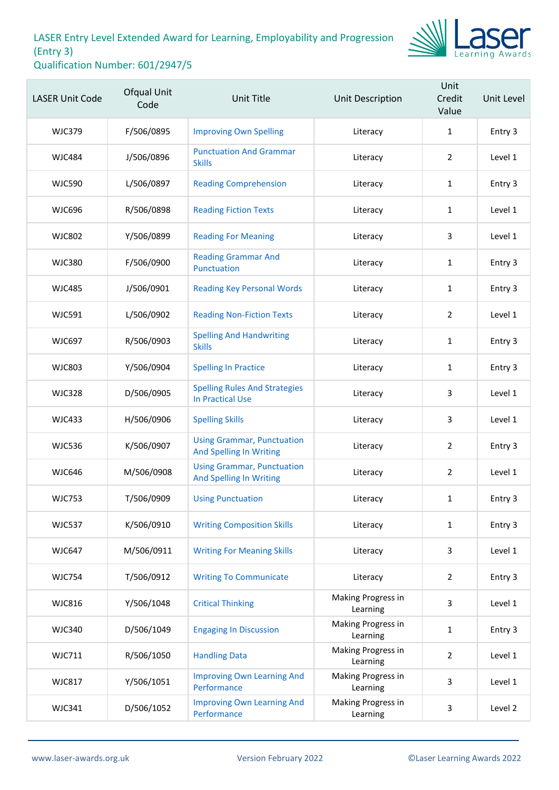

| <b>LASER Unit Code</b> | Ofqual Unit<br>Code | <b>Unit Title</b>                                                   | Unit Description               | Unit<br>Credit<br>Value | Unit Level |
|------------------------|---------------------|---------------------------------------------------------------------|--------------------------------|-------------------------|------------|
| <b>WJC379</b>          | F/506/0895          | <b>Improving Own Spelling</b>                                       | Literacy                       | $\mathbf{1}$            | Entry 3    |
| <b>WJC484</b>          | J/506/0896          | <b>Punctuation And Grammar</b><br><b>Skills</b>                     | Literacy                       | $\overline{2}$          | Level 1    |
| <b>WJC590</b>          | L/506/0897          | <b>Reading Comprehension</b>                                        | Literacy                       | $\mathbf{1}$            | Entry 3    |
| <b>WJC696</b>          | R/506/0898          | <b>Reading Fiction Texts</b>                                        | Literacy                       | $\mathbf{1}$            | Level 1    |
| <b>WJC802</b>          | Y/506/0899          | <b>Reading For Meaning</b>                                          | Literacy                       | 3                       | Level 1    |
| <b>WJC380</b>          | F/506/0900          | <b>Reading Grammar And</b><br>Punctuation                           | Literacy                       | $\mathbf{1}$            | Entry 3    |
| <b>WJC485</b>          | J/506/0901          | <b>Reading Key Personal Words</b>                                   | Literacy                       | $\mathbf{1}$            | Entry 3    |
| <b>WJC591</b>          | L/506/0902          | <b>Reading Non-Fiction Texts</b>                                    | Literacy                       | $\overline{2}$          | Level 1    |
| <b>WJC697</b>          | R/506/0903          | <b>Spelling And Handwriting</b><br><b>Skills</b>                    | Literacy                       | $\mathbf{1}$            | Entry 3    |
| <b>WJC803</b>          | Y/506/0904          | <b>Spelling In Practice</b>                                         | Literacy                       | $\mathbf{1}$            | Entry 3    |
| <b>WJC328</b>          | D/506/0905          | <b>Spelling Rules And Strategies</b><br><b>In Practical Use</b>     | Literacy                       | 3                       | Level 1    |
| <b>WJC433</b>          | H/506/0906          | <b>Spelling Skills</b>                                              | Literacy                       | 3                       | Level 1    |
| <b>WJC536</b>          | K/506/0907          | <b>Using Grammar, Punctuation</b><br><b>And Spelling In Writing</b> | Literacy                       | $\overline{2}$          | Entry 3    |
| <b>WJC646</b>          | M/506/0908          | <b>Using Grammar, Punctuation</b><br><b>And Spelling In Writing</b> | Literacy                       | $\overline{2}$          | Level 1    |
| <b>WJC753</b>          | T/506/0909          | <b>Using Punctuation</b>                                            | Literacy                       | $\mathbf{1}$            | Entry 3    |
| <b>WJC537</b>          | K/506/0910          | <b>Writing Composition Skills</b>                                   | Literacy                       | $\mathbf{1}$            | Entry 3    |
| <b>WJC647</b>          | M/506/0911          | <b>Writing For Meaning Skills</b>                                   | Literacy                       | 3                       | Level 1    |
| <b>WJC754</b>          | T/506/0912          | <b>Writing To Communicate</b>                                       | Literacy                       | $\overline{2}$          | Entry 3    |
| <b>WJC816</b>          | Y/506/1048          | <b>Critical Thinking</b>                                            | Making Progress in<br>Learning | 3                       | Level 1    |
| <b>WJC340</b>          | D/506/1049          | <b>Engaging In Discussion</b>                                       | Making Progress in<br>Learning | $\mathbf{1}$            | Entry 3    |
| <b>WJC711</b>          | R/506/1050          | <b>Handling Data</b>                                                | Making Progress in<br>Learning | $\overline{2}$          | Level 1    |
| <b>WJC817</b>          | Y/506/1051          | <b>Improving Own Learning And</b><br>Performance                    | Making Progress in<br>Learning | 3                       | Level 1    |
| <b>WJC341</b>          | D/506/1052          | <b>Improving Own Learning And</b><br>Performance                    | Making Progress in<br>Learning | 3                       | Level 2    |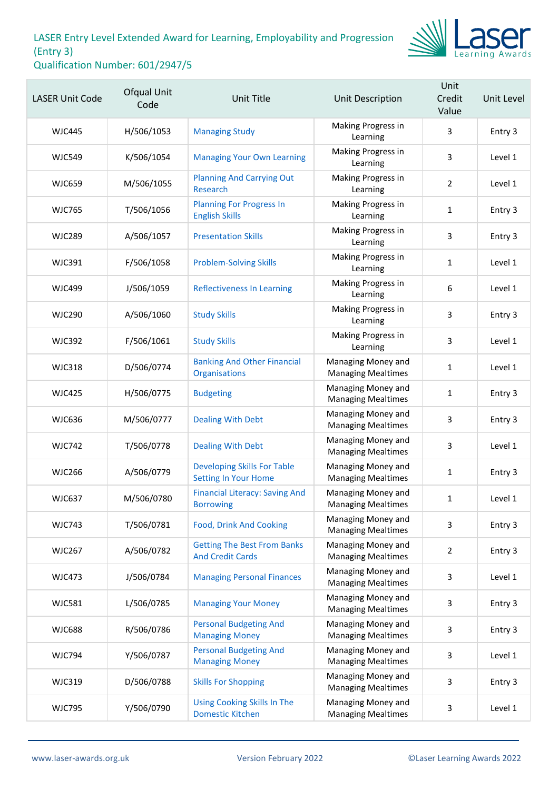

| <b>LASER Unit Code</b> | Ofqual Unit<br>Code | <b>Unit Title</b>                                             | Unit Description                                | Unit<br>Credit<br>Value | Unit Level |
|------------------------|---------------------|---------------------------------------------------------------|-------------------------------------------------|-------------------------|------------|
| <b>WJC445</b>          | H/506/1053          | <b>Managing Study</b>                                         | Making Progress in<br>Learning                  | 3                       | Entry 3    |
| <b>WJC549</b>          | K/506/1054          | <b>Managing Your Own Learning</b>                             | Making Progress in<br>Learning                  | 3                       | Level 1    |
| <b>WJC659</b>          | M/506/1055          | <b>Planning And Carrying Out</b><br>Research                  | Making Progress in<br>Learning                  | $\overline{2}$          | Level 1    |
| <b>WJC765</b>          | T/506/1056          | <b>Planning For Progress In</b><br><b>English Skills</b>      | Making Progress in<br>Learning                  | $\mathbf{1}$            | Entry 3    |
| <b>WJC289</b>          | A/506/1057          | <b>Presentation Skills</b>                                    | Making Progress in<br>Learning                  | 3                       | Entry 3    |
| <b>WJC391</b>          | F/506/1058          | <b>Problem-Solving Skills</b>                                 | Making Progress in<br>Learning                  | $\mathbf{1}$            | Level 1    |
| <b>WJC499</b>          | J/506/1059          | <b>Reflectiveness In Learning</b>                             | Making Progress in<br>Learning                  | 6                       | Level 1    |
| <b>WJC290</b>          | A/506/1060          | <b>Study Skills</b>                                           | Making Progress in<br>Learning                  | 3                       | Entry 3    |
| <b>WJC392</b>          | F/506/1061          | <b>Study Skills</b>                                           | Making Progress in<br>Learning                  | 3                       | Level 1    |
| <b>WJC318</b>          | D/506/0774          | <b>Banking And Other Financial</b><br>Organisations           | Managing Money and<br><b>Managing Mealtimes</b> | 1                       | Level 1    |
| <b>WJC425</b>          | H/506/0775          | <b>Budgeting</b>                                              | Managing Money and<br><b>Managing Mealtimes</b> | $\mathbf{1}$            | Entry 3    |
| <b>WJC636</b>          | M/506/0777          | <b>Dealing With Debt</b>                                      | Managing Money and<br><b>Managing Mealtimes</b> | 3                       | Entry 3    |
| <b>WJC742</b>          | T/506/0778          | <b>Dealing With Debt</b>                                      | Managing Money and<br><b>Managing Mealtimes</b> | 3                       | Level 1    |
| <b>WJC266</b>          | A/506/0779          | <b>Developing Skills For Table</b><br>Setting In Your Home    | Managing Money and<br><b>Managing Mealtimes</b> | $\mathbf{1}$            | Entry 3    |
| <b>WJC637</b>          | M/506/0780          | <b>Financial Literacy: Saving And</b><br><b>Borrowing</b>     | Managing Money and<br><b>Managing Mealtimes</b> | 1                       | Level 1    |
| <b>WJC743</b>          | T/506/0781          | <b>Food, Drink And Cooking</b>                                | Managing Money and<br><b>Managing Mealtimes</b> | 3                       | Entry 3    |
| <b>WJC267</b>          | A/506/0782          | <b>Getting The Best From Banks</b><br><b>And Credit Cards</b> | Managing Money and<br><b>Managing Mealtimes</b> | $\overline{2}$          | Entry 3    |
| <b>WJC473</b>          | J/506/0784          | <b>Managing Personal Finances</b>                             | Managing Money and<br><b>Managing Mealtimes</b> | 3                       | Level 1    |
| <b>WJC581</b>          | L/506/0785          | <b>Managing Your Money</b>                                    | Managing Money and<br><b>Managing Mealtimes</b> | 3                       | Entry 3    |
| <b>WJC688</b>          | R/506/0786          | <b>Personal Budgeting And</b><br><b>Managing Money</b>        | Managing Money and<br><b>Managing Mealtimes</b> | 3                       | Entry 3    |
| <b>WJC794</b>          | Y/506/0787          | <b>Personal Budgeting And</b><br><b>Managing Money</b>        | Managing Money and<br><b>Managing Mealtimes</b> | 3                       | Level 1    |
| <b>WJC319</b>          | D/506/0788          | <b>Skills For Shopping</b>                                    | Managing Money and<br><b>Managing Mealtimes</b> | 3                       | Entry 3    |
| <b>WJC795</b>          | Y/506/0790          | <b>Using Cooking Skills In The</b><br><b>Domestic Kitchen</b> | Managing Money and<br><b>Managing Mealtimes</b> | 3                       | Level 1    |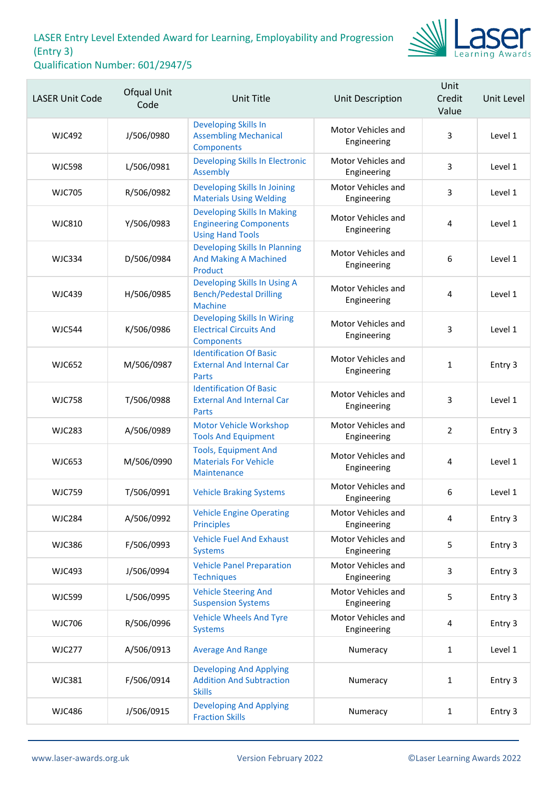

| <b>LASER Unit Code</b> | Ofqual Unit<br>Code | Unit Title                                                                                     | Unit Description                  | Unit<br>Credit<br>Value | Unit Level |
|------------------------|---------------------|------------------------------------------------------------------------------------------------|-----------------------------------|-------------------------|------------|
| <b>WJC492</b>          | J/506/0980          | <b>Developing Skills In</b><br><b>Assembling Mechanical</b><br><b>Components</b>               | Motor Vehicles and<br>Engineering | 3                       | Level 1    |
| <b>WJC598</b>          | L/506/0981          | <b>Developing Skills In Electronic</b><br>Assembly                                             | Motor Vehicles and<br>Engineering | 3                       | Level 1    |
| <b>WJC705</b>          | R/506/0982          | Developing Skills In Joining<br><b>Materials Using Welding</b>                                 | Motor Vehicles and<br>Engineering | 3                       | Level 1    |
| <b>WJC810</b>          | Y/506/0983          | <b>Developing Skills In Making</b><br><b>Engineering Components</b><br><b>Using Hand Tools</b> | Motor Vehicles and<br>Engineering | 4                       | Level 1    |
| <b>WJC334</b>          | D/506/0984          | <b>Developing Skills In Planning</b><br><b>And Making A Machined</b><br>Product                | Motor Vehicles and<br>Engineering | 6                       | Level 1    |
| <b>WJC439</b>          | H/506/0985          | Developing Skills In Using A<br><b>Bench/Pedestal Drilling</b><br><b>Machine</b>               | Motor Vehicles and<br>Engineering | 4                       | Level 1    |
| <b>WJC544</b>          | K/506/0986          | <b>Developing Skills In Wiring</b><br><b>Electrical Circuits And</b><br>Components             | Motor Vehicles and<br>Engineering | 3                       | Level 1    |
| <b>WJC652</b>          | M/506/0987          | <b>Identification Of Basic</b><br><b>External And Internal Car</b><br><b>Parts</b>             | Motor Vehicles and<br>Engineering | $\mathbf{1}$            | Entry 3    |
| <b>WJC758</b>          | T/506/0988          | <b>Identification Of Basic</b><br><b>External And Internal Car</b><br>Parts                    | Motor Vehicles and<br>Engineering | 3                       | Level 1    |
| <b>WJC283</b>          | A/506/0989          | <b>Motor Vehicle Workshop</b><br><b>Tools And Equipment</b>                                    | Motor Vehicles and<br>Engineering | $\overline{2}$          | Entry 3    |
| <b>WJC653</b>          | M/506/0990          | <b>Tools, Equipment And</b><br><b>Materials For Vehicle</b><br>Maintenance                     | Motor Vehicles and<br>Engineering | 4                       | Level 1    |
| <b>WJC759</b>          | T/506/0991          | <b>Vehicle Braking Systems</b>                                                                 | Motor Vehicles and<br>Engineering | 6                       | Level 1    |
| <b>WJC284</b>          | A/506/0992          | <b>Vehicle Engine Operating</b><br><b>Principles</b>                                           | Motor Vehicles and<br>Engineering | 4                       | Entry 3    |
| <b>WJC386</b>          | F/506/0993          | <b>Vehicle Fuel And Exhaust</b><br><b>Systems</b>                                              | Motor Vehicles and<br>Engineering | 5                       | Entry 3    |
| <b>WJC493</b>          | J/506/0994          | <b>Vehicle Panel Preparation</b><br><b>Techniques</b>                                          | Motor Vehicles and<br>Engineering | 3                       | Entry 3    |
| <b>WJC599</b>          | L/506/0995          | <b>Vehicle Steering And</b><br><b>Suspension Systems</b>                                       | Motor Vehicles and<br>Engineering | 5                       | Entry 3    |
| <b>WJC706</b>          | R/506/0996          | <b>Vehicle Wheels And Tyre</b><br><b>Systems</b>                                               | Motor Vehicles and<br>Engineering | 4                       | Entry 3    |
| <b>WJC277</b>          | A/506/0913          | <b>Average And Range</b>                                                                       | Numeracy                          | 1                       | Level 1    |
| <b>WJC381</b>          | F/506/0914          | <b>Developing And Applying</b><br><b>Addition And Subtraction</b><br><b>Skills</b>             | Numeracy                          | 1                       | Entry 3    |
| <b>WJC486</b>          | J/506/0915          | <b>Developing And Applying</b><br><b>Fraction Skills</b>                                       | Numeracy                          | $\mathbf{1}$            | Entry 3    |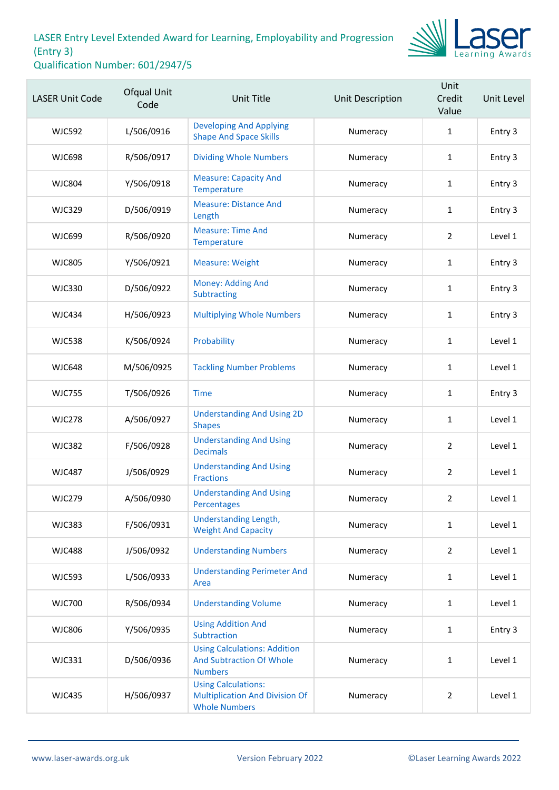

| <b>LASER Unit Code</b> | Ofqual Unit<br>Code | <b>Unit Title</b>                                                                           | Unit Description | Unit<br>Credit<br>Value | Unit Level |
|------------------------|---------------------|---------------------------------------------------------------------------------------------|------------------|-------------------------|------------|
| <b>WJC592</b>          | L/506/0916          | <b>Developing And Applying</b><br><b>Shape And Space Skills</b>                             | Numeracy         | 1                       | Entry 3    |
| <b>WJC698</b>          | R/506/0917          | <b>Dividing Whole Numbers</b>                                                               | Numeracy         | $\mathbf{1}$            | Entry 3    |
| <b>WJC804</b>          | Y/506/0918          | <b>Measure: Capacity And</b><br>Temperature                                                 | Numeracy         | 1                       | Entry 3    |
| <b>WJC329</b>          | D/506/0919          | <b>Measure: Distance And</b><br>Length                                                      | Numeracy         | 1                       | Entry 3    |
| <b>WJC699</b>          | R/506/0920          | <b>Measure: Time And</b><br>Temperature                                                     | Numeracy         | $\overline{2}$          | Level 1    |
| <b>WJC805</b>          | Y/506/0921          | <b>Measure: Weight</b>                                                                      | Numeracy         | $\mathbf{1}$            | Entry 3    |
| <b>WJC330</b>          | D/506/0922          | Money: Adding And<br>Subtracting                                                            | Numeracy         | 1                       | Entry 3    |
| <b>WJC434</b>          | H/506/0923          | <b>Multiplying Whole Numbers</b>                                                            | Numeracy         | $\mathbf{1}$            | Entry 3    |
| <b>WJC538</b>          | K/506/0924          | Probability                                                                                 | Numeracy         | 1                       | Level 1    |
| <b>WJC648</b>          | M/506/0925          | <b>Tackling Number Problems</b>                                                             | Numeracy         | $\mathbf{1}$            | Level 1    |
| <b>WJC755</b>          | T/506/0926          | <b>Time</b>                                                                                 | Numeracy         | $\mathbf{1}$            | Entry 3    |
| <b>WJC278</b>          | A/506/0927          | <b>Understanding And Using 2D</b><br><b>Shapes</b>                                          | Numeracy         | 1                       | Level 1    |
| <b>WJC382</b>          | F/506/0928          | <b>Understanding And Using</b><br><b>Decimals</b>                                           | Numeracy         | $\overline{2}$          | Level 1    |
| <b>WJC487</b>          | J/506/0929          | <b>Understanding And Using</b><br><b>Fractions</b>                                          | Numeracy         | $\overline{2}$          | Level 1    |
| <b>WJC279</b>          | A/506/0930          | <b>Understanding And Using</b><br>Percentages                                               | Numeracy         | $\overline{2}$          | Level 1    |
| <b>WJC383</b>          | F/506/0931          | <b>Understanding Length,</b><br><b>Weight And Capacity</b>                                  | Numeracy         | $\mathbf{1}$            | Level 1    |
| <b>WJC488</b>          | J/506/0932          | <b>Understanding Numbers</b>                                                                | Numeracy         | $\overline{2}$          | Level 1    |
| <b>WJC593</b>          | L/506/0933          | <b>Understanding Perimeter And</b><br>Area                                                  | Numeracy         | $\mathbf{1}$            | Level 1    |
| <b>WJC700</b>          | R/506/0934          | <b>Understanding Volume</b>                                                                 | Numeracy         | 1                       | Level 1    |
| <b>WJC806</b>          | Y/506/0935          | <b>Using Addition And</b><br>Subtraction                                                    | Numeracy         | $\mathbf{1}$            | Entry 3    |
| <b>WJC331</b>          | D/506/0936          | <b>Using Calculations: Addition</b><br><b>And Subtraction Of Whole</b><br><b>Numbers</b>    | Numeracy         | $\mathbf{1}$            | Level 1    |
| <b>WJC435</b>          | H/506/0937          | <b>Using Calculations:</b><br><b>Multiplication And Division Of</b><br><b>Whole Numbers</b> | Numeracy         | $\overline{2}$          | Level 1    |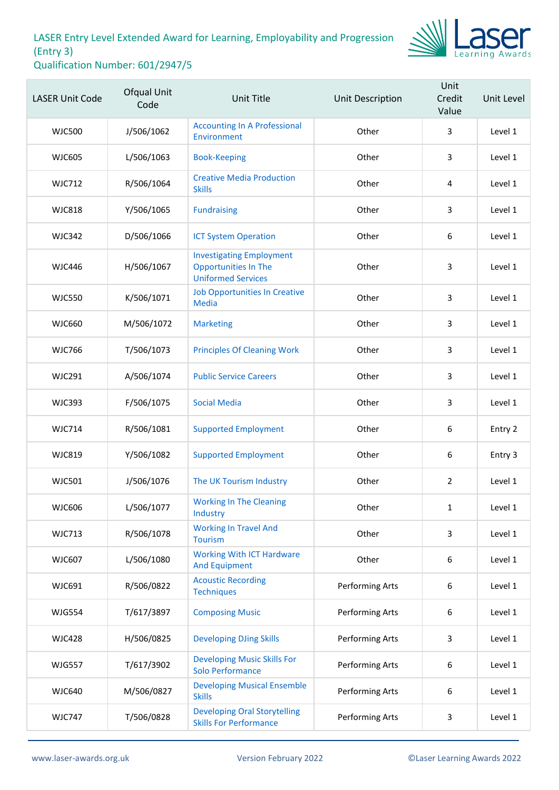

| <b>LASER Unit Code</b> | Ofqual Unit<br>Code | <b>Unit Title</b>                                                                           | Unit Description | Unit<br>Credit<br>Value | Unit Level |
|------------------------|---------------------|---------------------------------------------------------------------------------------------|------------------|-------------------------|------------|
| <b>WJC500</b>          | J/506/1062          | <b>Accounting In A Professional</b><br>Environment                                          | Other            | 3                       | Level 1    |
| <b>WJC605</b>          | L/506/1063          | <b>Book-Keeping</b>                                                                         | Other            | 3                       | Level 1    |
| <b>WJC712</b>          | R/506/1064          | <b>Creative Media Production</b><br><b>Skills</b>                                           | Other            | 4                       | Level 1    |
| <b>WJC818</b>          | Y/506/1065          | <b>Fundraising</b>                                                                          | Other            | 3                       | Level 1    |
| <b>WJC342</b>          | D/506/1066          | <b>ICT System Operation</b>                                                                 | Other            | 6                       | Level 1    |
| <b>WJC446</b>          | H/506/1067          | <b>Investigating Employment</b><br><b>Opportunities In The</b><br><b>Uniformed Services</b> | Other            | 3                       | Level 1    |
| <b>WJC550</b>          | K/506/1071          | <b>Job Opportunities In Creative</b><br><b>Media</b>                                        | Other            | 3                       | Level 1    |
| <b>WJC660</b>          | M/506/1072          | <b>Marketing</b>                                                                            | Other            | 3                       | Level 1    |
| <b>WJC766</b>          | T/506/1073          | <b>Principles Of Cleaning Work</b>                                                          | Other            | 3                       | Level 1    |
| <b>WJC291</b>          | A/506/1074          | <b>Public Service Careers</b>                                                               | Other            | $\overline{3}$          | Level 1    |
| <b>WJC393</b>          | F/506/1075          | <b>Social Media</b>                                                                         | Other            | 3                       | Level 1    |
| <b>WJC714</b>          | R/506/1081          | <b>Supported Employment</b>                                                                 | Other            | 6                       | Entry 2    |
| <b>WJC819</b>          | Y/506/1082          | <b>Supported Employment</b>                                                                 | Other            | $\boldsymbol{6}$        | Entry 3    |
| <b>WJC501</b>          | J/506/1076          | The UK Tourism Industry                                                                     | Other            | $\overline{2}$          | Level 1    |
| WJC606                 | L/506/1077          | <b>Working In The Cleaning</b><br>Industry                                                  | Other            | $\mathbf{1}$            | Level 1    |
| <b>WJC713</b>          | R/506/1078          | <b>Working In Travel And</b><br><b>Tourism</b>                                              | Other            | $\overline{3}$          | Level 1    |
| <b>WJC607</b>          | L/506/1080          | <b>Working With ICT Hardware</b><br><b>And Equipment</b>                                    | Other            | 6                       | Level 1    |
| WJC691                 | R/506/0822          | <b>Acoustic Recording</b><br><b>Techniques</b>                                              | Performing Arts  | 6                       | Level 1    |
| <b>WJG554</b>          | T/617/3897          | <b>Composing Music</b>                                                                      | Performing Arts  | $\boldsymbol{6}$        | Level 1    |
| <b>WJC428</b>          | H/506/0825          | <b>Developing DJing Skills</b>                                                              | Performing Arts  | 3                       | Level 1    |
| <b>WJG557</b>          | T/617/3902          | <b>Developing Music Skills For</b><br>Solo Performance                                      | Performing Arts  | 6                       | Level 1    |
| <b>WJC640</b>          | M/506/0827          | <b>Developing Musical Ensemble</b><br><b>Skills</b>                                         | Performing Arts  | $\boldsymbol{6}$        | Level 1    |
| <b>WJC747</b>          | T/506/0828          | <b>Developing Oral Storytelling</b><br><b>Skills For Performance</b>                        | Performing Arts  | 3                       | Level 1    |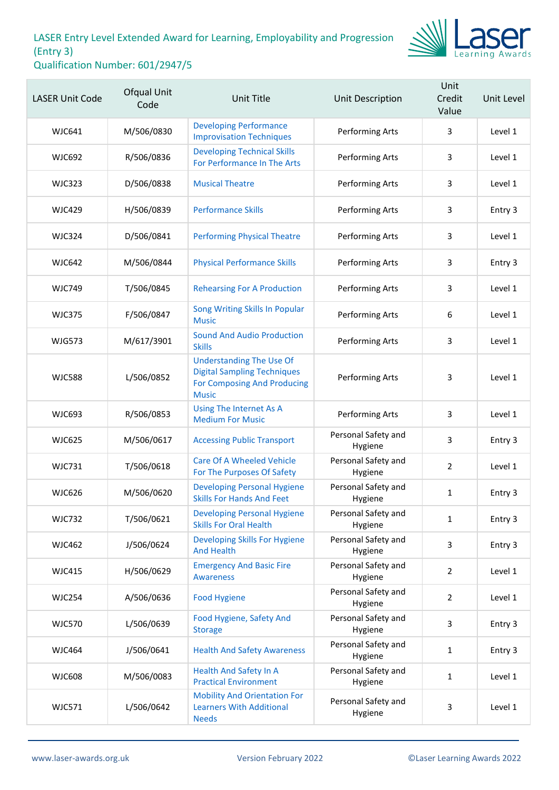

| <b>LASER Unit Code</b> | Ofqual Unit<br>Code | <b>Unit Title</b>                                                                                                    | Unit Description               | Unit<br>Credit<br>Value | Unit Level |
|------------------------|---------------------|----------------------------------------------------------------------------------------------------------------------|--------------------------------|-------------------------|------------|
| <b>WJC641</b>          | M/506/0830          | <b>Developing Performance</b><br><b>Improvisation Techniques</b>                                                     | Performing Arts                | 3                       | Level 1    |
| <b>WJC692</b>          | R/506/0836          | <b>Developing Technical Skills</b><br>For Performance In The Arts                                                    | Performing Arts                | 3                       | Level 1    |
| <b>WJC323</b>          | D/506/0838          | <b>Musical Theatre</b>                                                                                               | Performing Arts                | 3                       | Level 1    |
| <b>WJC429</b>          | H/506/0839          | <b>Performance Skills</b>                                                                                            | Performing Arts                | 3                       | Entry 3    |
| <b>WJC324</b>          | D/506/0841          | <b>Performing Physical Theatre</b>                                                                                   | Performing Arts                | 3                       | Level 1    |
| <b>WJC642</b>          | M/506/0844          | <b>Physical Performance Skills</b>                                                                                   | Performing Arts                | 3                       | Entry 3    |
| <b>WJC749</b>          | T/506/0845          | <b>Rehearsing For A Production</b>                                                                                   | Performing Arts                | 3                       | Level 1    |
| <b>WJC375</b>          | F/506/0847          | Song Writing Skills In Popular<br><b>Music</b>                                                                       | Performing Arts                | 6                       | Level 1    |
| <b>WJG573</b>          | M/617/3901          | <b>Sound And Audio Production</b><br><b>Skills</b>                                                                   | Performing Arts                | 3                       | Level 1    |
| <b>WJC588</b>          | L/506/0852          | <b>Understanding The Use Of</b><br><b>Digital Sampling Techniques</b><br>For Composing And Producing<br><b>Music</b> | Performing Arts                | 3                       | Level 1    |
| <b>WJC693</b>          | R/506/0853          | Using The Internet As A<br><b>Medium For Music</b>                                                                   | Performing Arts                | 3                       | Level 1    |
| <b>WJC625</b>          | M/506/0617          | <b>Accessing Public Transport</b>                                                                                    | Personal Safety and<br>Hygiene | 3                       | Entry 3    |
| <b>WJC731</b>          | T/506/0618          | <b>Care Of A Wheeled Vehicle</b><br>For The Purposes Of Safety                                                       | Personal Safety and<br>Hygiene | $\overline{2}$          | Level 1    |
| <b>WJC626</b>          | M/506/0620          | <b>Developing Personal Hygiene</b><br><b>Skills For Hands And Feet</b>                                               | Personal Safety and<br>Hygiene | $\mathbf{1}$            | Entry 3    |
| <b>WJC732</b>          | T/506/0621          | <b>Developing Personal Hygiene</b><br><b>Skills For Oral Health</b>                                                  | Personal Safety and<br>Hygiene | $\mathbf{1}$            | Entry 3    |
| <b>WJC462</b>          | J/506/0624          | <b>Developing Skills For Hygiene</b><br><b>And Health</b>                                                            | Personal Safety and<br>Hygiene | 3                       | Entry 3    |
| <b>WJC415</b>          | H/506/0629          | <b>Emergency And Basic Fire</b><br><b>Awareness</b>                                                                  | Personal Safety and<br>Hygiene | $\overline{2}$          | Level 1    |
| <b>WJC254</b>          | A/506/0636          | <b>Food Hygiene</b>                                                                                                  | Personal Safety and<br>Hygiene | $\overline{2}$          | Level 1    |
| <b>WJC570</b>          | L/506/0639          | Food Hygiene, Safety And<br><b>Storage</b>                                                                           | Personal Safety and<br>Hygiene | 3                       | Entry 3    |
| <b>WJC464</b>          | J/506/0641          | <b>Health And Safety Awareness</b>                                                                                   | Personal Safety and<br>Hygiene | $\mathbf{1}$            | Entry 3    |
| <b>WJC608</b>          | M/506/0083          | <b>Health And Safety In A</b><br><b>Practical Environment</b>                                                        | Personal Safety and<br>Hygiene | $\mathbf{1}$            | Level 1    |
| <b>WJC571</b>          | L/506/0642          | <b>Mobility And Orientation For</b><br><b>Learners With Additional</b><br><b>Needs</b>                               | Personal Safety and<br>Hygiene | 3                       | Level 1    |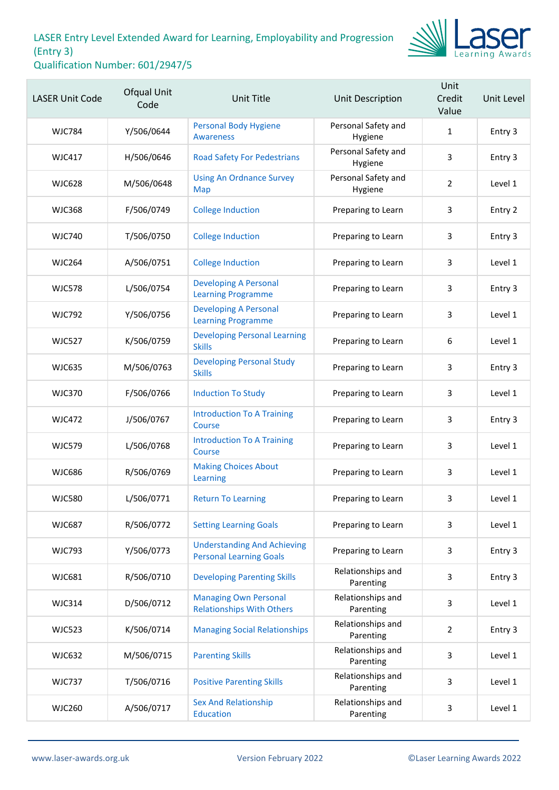

| <b>LASER Unit Code</b> | Ofqual Unit<br>Code | <b>Unit Title</b>                                                    | Unit Description               | Unit<br>Credit<br>Value | Unit Level |
|------------------------|---------------------|----------------------------------------------------------------------|--------------------------------|-------------------------|------------|
| <b>WJC784</b>          | Y/506/0644          | <b>Personal Body Hygiene</b><br><b>Awareness</b>                     | Personal Safety and<br>Hygiene | $\mathbf{1}$            | Entry 3    |
| <b>WJC417</b>          | H/506/0646          | <b>Road Safety For Pedestrians</b>                                   | Personal Safety and<br>Hygiene | 3                       | Entry 3    |
| <b>WJC628</b>          | M/506/0648          | <b>Using An Ordnance Survey</b><br>Map                               | Personal Safety and<br>Hygiene | $\overline{2}$          | Level 1    |
| <b>WJC368</b>          | F/506/0749          | <b>College Induction</b>                                             | Preparing to Learn             | 3                       | Entry 2    |
| <b>WJC740</b>          | T/506/0750          | <b>College Induction</b>                                             | Preparing to Learn             | 3                       | Entry 3    |
| <b>WJC264</b>          | A/506/0751          | <b>College Induction</b>                                             | Preparing to Learn             | 3                       | Level 1    |
| <b>WJC578</b>          | L/506/0754          | <b>Developing A Personal</b><br><b>Learning Programme</b>            | Preparing to Learn             | 3                       | Entry 3    |
| <b>WJC792</b>          | Y/506/0756          | <b>Developing A Personal</b><br><b>Learning Programme</b>            | Preparing to Learn             | 3                       | Level 1    |
| <b>WJC527</b>          | K/506/0759          | <b>Developing Personal Learning</b><br><b>Skills</b>                 | Preparing to Learn             | 6                       | Level 1    |
| <b>WJC635</b>          | M/506/0763          | <b>Developing Personal Study</b><br><b>Skills</b>                    | Preparing to Learn             | 3                       | Entry 3    |
| <b>WJC370</b>          | F/506/0766          | <b>Induction To Study</b>                                            | Preparing to Learn             | 3                       | Level 1    |
| <b>WJC472</b>          | J/506/0767          | <b>Introduction To A Training</b><br>Course                          | Preparing to Learn             | 3                       | Entry 3    |
| <b>WJC579</b>          | L/506/0768          | <b>Introduction To A Training</b><br>Course                          | Preparing to Learn             | 3                       | Level 1    |
| <b>WJC686</b>          | R/506/0769          | <b>Making Choices About</b><br>Learning                              | Preparing to Learn             | 3                       | Level 1    |
| <b>WJC580</b>          | L/506/0771          | <b>Return To Learning</b>                                            | Preparing to Learn             | 3                       | Level 1    |
| <b>WJC687</b>          | R/506/0772          | <b>Setting Learning Goals</b>                                        | Preparing to Learn             | 3                       | Level 1    |
| <b>WJC793</b>          | Y/506/0773          | <b>Understanding And Achieving</b><br><b>Personal Learning Goals</b> | Preparing to Learn             | 3                       | Entry 3    |
| <b>WJC681</b>          | R/506/0710          | <b>Developing Parenting Skills</b>                                   | Relationships and<br>Parenting | 3                       | Entry 3    |
| <b>WJC314</b>          | D/506/0712          | <b>Managing Own Personal</b><br><b>Relationships With Others</b>     | Relationships and<br>Parenting | 3                       | Level 1    |
| <b>WJC523</b>          | K/506/0714          | <b>Managing Social Relationships</b>                                 | Relationships and<br>Parenting | $\overline{2}$          | Entry 3    |
| <b>WJC632</b>          | M/506/0715          | <b>Parenting Skills</b>                                              | Relationships and<br>Parenting | 3                       | Level 1    |
| <b>WJC737</b>          | T/506/0716          | <b>Positive Parenting Skills</b>                                     | Relationships and<br>Parenting | 3                       | Level 1    |
| <b>WJC260</b>          | A/506/0717          | <b>Sex And Relationship</b><br>Education                             | Relationships and<br>Parenting | 3                       | Level 1    |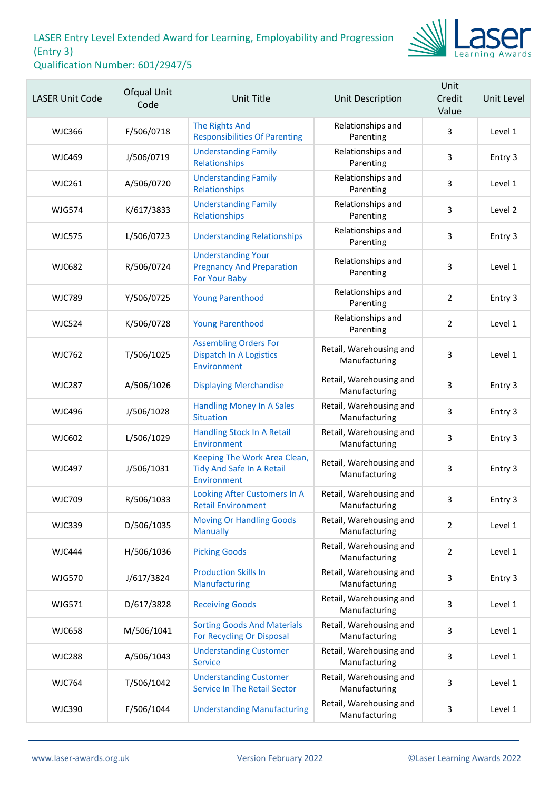

| <b>LASER Unit Code</b> | Ofqual Unit<br>Code | <b>Unit Title</b>                                                              | Unit Description                         | Unit<br>Credit<br>Value | Unit Level |
|------------------------|---------------------|--------------------------------------------------------------------------------|------------------------------------------|-------------------------|------------|
| <b>WJC366</b>          | F/506/0718          | <b>The Rights And</b><br><b>Responsibilities Of Parenting</b>                  | Relationships and<br>Parenting           | 3                       | Level 1    |
| <b>WJC469</b>          | J/506/0719          | <b>Understanding Family</b><br>Relationships                                   | Relationships and<br>Parenting           | 3                       | Entry 3    |
| <b>WJC261</b>          | A/506/0720          | <b>Understanding Family</b><br>Relationships                                   | Relationships and<br>Parenting           | 3                       | Level 1    |
| <b>WJG574</b>          | K/617/3833          | <b>Understanding Family</b><br>Relationships                                   | Relationships and<br>Parenting           | 3                       | Level 2    |
| <b>WJC575</b>          | L/506/0723          | <b>Understanding Relationships</b>                                             | Relationships and<br>Parenting           | 3                       | Entry 3    |
| <b>WJC682</b>          | R/506/0724          | <b>Understanding Your</b><br><b>Pregnancy And Preparation</b><br>For Your Baby | Relationships and<br>Parenting           | 3                       | Level 1    |
| <b>WJC789</b>          | Y/506/0725          | <b>Young Parenthood</b>                                                        | Relationships and<br>Parenting           | $\overline{2}$          | Entry 3    |
| <b>WJC524</b>          | K/506/0728          | <b>Young Parenthood</b>                                                        | Relationships and<br>Parenting           | $\overline{2}$          | Level 1    |
| <b>WJC762</b>          | T/506/1025          | <b>Assembling Orders For</b><br><b>Dispatch In A Logistics</b><br>Environment  | Retail, Warehousing and<br>Manufacturing | 3                       | Level 1    |
| <b>WJC287</b>          | A/506/1026          | <b>Displaying Merchandise</b>                                                  | Retail, Warehousing and<br>Manufacturing | 3                       | Entry 3    |
| <b>WJC496</b>          | J/506/1028          | <b>Handling Money In A Sales</b><br><b>Situation</b>                           | Retail, Warehousing and<br>Manufacturing | 3                       | Entry 3    |
| <b>WJC602</b>          | L/506/1029          | Handling Stock In A Retail<br>Environment                                      | Retail, Warehousing and<br>Manufacturing | 3                       | Entry 3    |
| <b>WJC497</b>          | J/506/1031          | Keeping The Work Area Clean,<br>Tidy And Safe In A Retail<br>Environment       | Retail, Warehousing and<br>Manufacturing | 3                       | Entry 3    |
| <b>WJC709</b>          | R/506/1033          | Looking After Customers In A<br><b>Retail Environment</b>                      | Retail, Warehousing and<br>Manufacturing | 3                       | Entry 3    |
| <b>WJC339</b>          | D/506/1035          | <b>Moving Or Handling Goods</b><br><b>Manually</b>                             | Retail, Warehousing and<br>Manufacturing | $\overline{2}$          | Level 1    |
| <b>WJC444</b>          | H/506/1036          | <b>Picking Goods</b>                                                           | Retail, Warehousing and<br>Manufacturing | $\overline{2}$          | Level 1    |
| <b>WJG570</b>          | J/617/3824          | <b>Production Skills In</b><br>Manufacturing                                   | Retail, Warehousing and<br>Manufacturing | 3                       | Entry 3    |
| WJG571                 | D/617/3828          | <b>Receiving Goods</b>                                                         | Retail, Warehousing and<br>Manufacturing | 3                       | Level 1    |
| <b>WJC658</b>          | M/506/1041          | <b>Sorting Goods And Materials</b><br>For Recycling Or Disposal                | Retail, Warehousing and<br>Manufacturing | 3                       | Level 1    |
| <b>WJC288</b>          | A/506/1043          | <b>Understanding Customer</b><br><b>Service</b>                                | Retail, Warehousing and<br>Manufacturing | 3                       | Level 1    |
| <b>WJC764</b>          | T/506/1042          | <b>Understanding Customer</b><br><b>Service In The Retail Sector</b>           | Retail, Warehousing and<br>Manufacturing | 3                       | Level 1    |
| <b>WJC390</b>          | F/506/1044          | <b>Understanding Manufacturing</b>                                             | Retail, Warehousing and<br>Manufacturing | 3                       | Level 1    |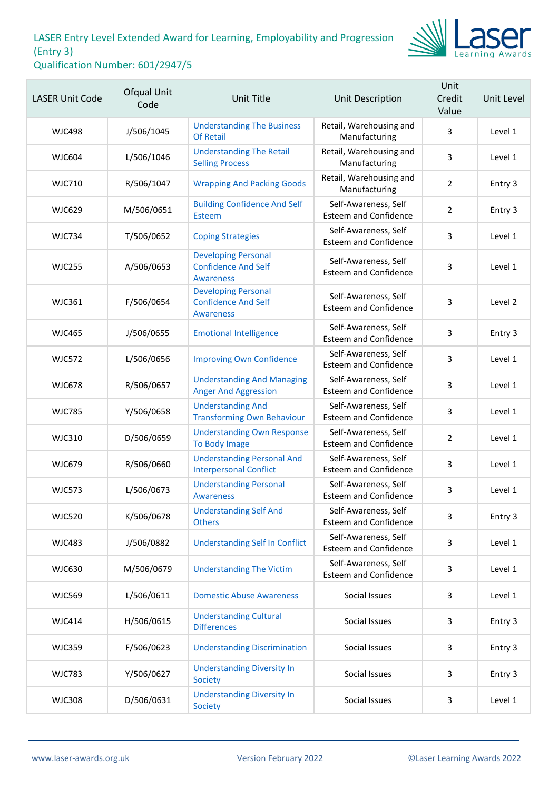

| <b>LASER Unit Code</b> | Ofqual Unit<br>Code | Unit Title                                                                   | <b>Unit Description</b>                              | Unit<br>Credit<br>Value | Unit Level |
|------------------------|---------------------|------------------------------------------------------------------------------|------------------------------------------------------|-------------------------|------------|
| <b>WJC498</b>          | J/506/1045          | <b>Understanding The Business</b><br><b>Of Retail</b>                        | Retail, Warehousing and<br>Manufacturing             | 3                       | Level 1    |
| <b>WJC604</b>          | L/506/1046          | <b>Understanding The Retail</b><br><b>Selling Process</b>                    | Retail, Warehousing and<br>Manufacturing             | 3                       | Level 1    |
| <b>WJC710</b>          | R/506/1047          | <b>Wrapping And Packing Goods</b>                                            | Retail, Warehousing and<br>Manufacturing             | $\overline{2}$          | Entry 3    |
| WJC629                 | M/506/0651          | <b>Building Confidence And Self</b><br>Esteem                                | Self-Awareness, Self<br><b>Esteem and Confidence</b> | $\overline{2}$          | Entry 3    |
| <b>WJC734</b>          | T/506/0652          | <b>Coping Strategies</b>                                                     | Self-Awareness, Self<br><b>Esteem and Confidence</b> | 3                       | Level 1    |
| <b>WJC255</b>          | A/506/0653          | <b>Developing Personal</b><br><b>Confidence And Self</b><br><b>Awareness</b> | Self-Awareness, Self<br><b>Esteem and Confidence</b> | 3                       | Level 1    |
| <b>WJC361</b>          | F/506/0654          | <b>Developing Personal</b><br><b>Confidence And Self</b><br><b>Awareness</b> | Self-Awareness, Self<br><b>Esteem and Confidence</b> | 3                       | Level 2    |
| <b>WJC465</b>          | J/506/0655          | <b>Emotional Intelligence</b>                                                | Self-Awareness, Self<br><b>Esteem and Confidence</b> | 3                       | Entry 3    |
| <b>WJC572</b>          | L/506/0656          | <b>Improving Own Confidence</b>                                              | Self-Awareness, Self<br><b>Esteem and Confidence</b> | 3                       | Level 1    |
| <b>WJC678</b>          | R/506/0657          | <b>Understanding And Managing</b><br><b>Anger And Aggression</b>             | Self-Awareness, Self<br><b>Esteem and Confidence</b> | 3                       | Level 1    |
| <b>WJC785</b>          | Y/506/0658          | <b>Understanding And</b><br><b>Transforming Own Behaviour</b>                | Self-Awareness, Self<br><b>Esteem and Confidence</b> | 3                       | Level 1    |
| <b>WJC310</b>          | D/506/0659          | <b>Understanding Own Response</b><br>To Body Image                           | Self-Awareness, Self<br><b>Esteem and Confidence</b> | $\overline{2}$          | Level 1    |
| <b>WJC679</b>          | R/506/0660          | <b>Understanding Personal And</b><br><b>Interpersonal Conflict</b>           | Self-Awareness, Self<br><b>Esteem and Confidence</b> | 3                       | Level 1    |
| <b>WJC573</b>          | L/506/0673          | <b>Understanding Personal</b><br><b>Awareness</b>                            | Self-Awareness, Self<br><b>Esteem and Confidence</b> | 3                       | Level 1    |
| <b>WJC520</b>          | K/506/0678          | <b>Understanding Self And</b><br><b>Others</b>                               | Self-Awareness, Self<br><b>Esteem and Confidence</b> | 3                       | Entry 3    |
| <b>WJC483</b>          | J/506/0882          | <b>Understanding Self In Conflict</b>                                        | Self-Awareness, Self<br><b>Esteem and Confidence</b> | 3                       | Level 1    |
| WJC630                 | M/506/0679          | <b>Understanding The Victim</b>                                              | Self-Awareness, Self<br><b>Esteem and Confidence</b> | 3                       | Level 1    |
| <b>WJC569</b>          | L/506/0611          | <b>Domestic Abuse Awareness</b>                                              | Social Issues                                        | 3                       | Level 1    |
| <b>WJC414</b>          | H/506/0615          | <b>Understanding Cultural</b><br><b>Differences</b>                          | Social Issues                                        | 3                       | Entry 3    |
| <b>WJC359</b>          | F/506/0623          | <b>Understanding Discrimination</b>                                          | Social Issues                                        | 3                       | Entry 3    |
| <b>WJC783</b>          | Y/506/0627          | <b>Understanding Diversity In</b><br>Society                                 | Social Issues                                        | 3                       | Entry 3    |
| <b>WJC308</b>          | D/506/0631          | <b>Understanding Diversity In</b><br>Society                                 | Social Issues                                        | 3                       | Level 1    |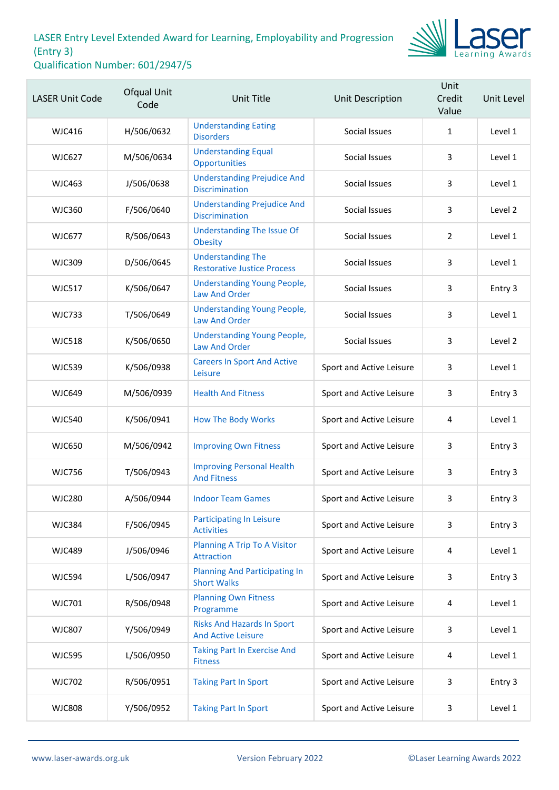

| <b>LASER Unit Code</b> | Ofqual Unit<br>Code | <b>Unit Title</b>                                              | Unit Description         | Unit<br>Credit<br>Value | Unit Level |
|------------------------|---------------------|----------------------------------------------------------------|--------------------------|-------------------------|------------|
| <b>WJC416</b>          | H/506/0632          | <b>Understanding Eating</b><br><b>Disorders</b>                | Social Issues            | 1                       | Level 1    |
| WJC627                 | M/506/0634          | <b>Understanding Equal</b><br>Opportunities                    | Social Issues            | 3                       | Level 1    |
| <b>WJC463</b>          | J/506/0638          | <b>Understanding Prejudice And</b><br><b>Discrimination</b>    | Social Issues            | 3                       | Level 1    |
| <b>WJC360</b>          | F/506/0640          | <b>Understanding Prejudice And</b><br><b>Discrimination</b>    | Social Issues            | 3                       | Level 2    |
| <b>WJC677</b>          | R/506/0643          | <b>Understanding The Issue Of</b><br><b>Obesity</b>            | Social Issues            | 2                       | Level 1    |
| <b>WJC309</b>          | D/506/0645          | <b>Understanding The</b><br><b>Restorative Justice Process</b> | Social Issues            | 3                       | Level 1    |
| <b>WJC517</b>          | K/506/0647          | <b>Understanding Young People,</b><br><b>Law And Order</b>     | Social Issues            | 3                       | Entry 3    |
| <b>WJC733</b>          | T/506/0649          | <b>Understanding Young People,</b><br><b>Law And Order</b>     | Social Issues            | 3                       | Level 1    |
| <b>WJC518</b>          | K/506/0650          | <b>Understanding Young People,</b><br><b>Law And Order</b>     | Social Issues            | 3                       | Level 2    |
| <b>WJC539</b>          | K/506/0938          | <b>Careers In Sport And Active</b><br>Leisure                  | Sport and Active Leisure | 3                       | Level 1    |
| <b>WJC649</b>          | M/506/0939          | <b>Health And Fitness</b>                                      | Sport and Active Leisure | 3                       | Entry 3    |
| <b>WJC540</b>          | K/506/0941          | <b>How The Body Works</b>                                      | Sport and Active Leisure | 4                       | Level 1    |
| <b>WJC650</b>          | M/506/0942          | <b>Improving Own Fitness</b>                                   | Sport and Active Leisure | 3                       | Entry 3    |
| <b>WJC756</b>          | T/506/0943          | <b>Improving Personal Health</b><br><b>And Fitness</b>         | Sport and Active Leisure | 3                       | Entry 3    |
| <b>WJC280</b>          | A/506/0944          | <b>Indoor Team Games</b>                                       | Sport and Active Leisure | 3                       | Entry 3    |
| <b>WJC384</b>          | F/506/0945          | <b>Participating In Leisure</b><br><b>Activities</b>           | Sport and Active Leisure | 3                       | Entry 3    |
| <b>WJC489</b>          | J/506/0946          | <b>Planning A Trip To A Visitor</b><br>Attraction              | Sport and Active Leisure | 4                       | Level 1    |
| <b>WJC594</b>          | L/506/0947          | <b>Planning And Participating In</b><br><b>Short Walks</b>     | Sport and Active Leisure | 3                       | Entry 3    |
| <b>WJC701</b>          | R/506/0948          | <b>Planning Own Fitness</b><br>Programme                       | Sport and Active Leisure | 4                       | Level 1    |
| <b>WJC807</b>          | Y/506/0949          | <b>Risks And Hazards In Sport</b><br><b>And Active Leisure</b> | Sport and Active Leisure | 3                       | Level 1    |
| <b>WJC595</b>          | L/506/0950          | <b>Taking Part In Exercise And</b><br><b>Fitness</b>           | Sport and Active Leisure | 4                       | Level 1    |
| <b>WJC702</b>          | R/506/0951          | <b>Taking Part In Sport</b>                                    | Sport and Active Leisure | 3                       | Entry 3    |
| <b>WJC808</b>          | Y/506/0952          | <b>Taking Part In Sport</b>                                    | Sport and Active Leisure | 3                       | Level 1    |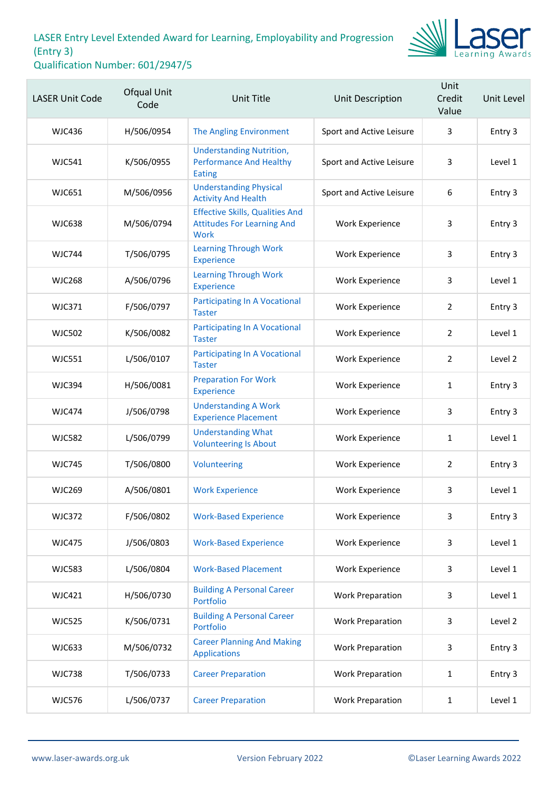

| <b>LASER Unit Code</b> | Ofqual Unit<br>Code | <b>Unit Title</b>                                                                   | Unit Description         | Unit<br>Credit<br>Value | Unit Level |
|------------------------|---------------------|-------------------------------------------------------------------------------------|--------------------------|-------------------------|------------|
| <b>WJC436</b>          | H/506/0954          | The Angling Environment                                                             | Sport and Active Leisure | 3                       | Entry 3    |
| <b>WJC541</b>          | K/506/0955          | <b>Understanding Nutrition,</b><br><b>Performance And Healthy</b><br><b>Eating</b>  | Sport and Active Leisure | 3                       | Level 1    |
| <b>WJC651</b>          | M/506/0956          | <b>Understanding Physical</b><br><b>Activity And Health</b>                         | Sport and Active Leisure | 6                       | Entry 3    |
| <b>WJC638</b>          | M/506/0794          | <b>Effective Skills, Qualities And</b><br><b>Attitudes For Learning And</b><br>Work | Work Experience          | 3                       | Entry 3    |
| <b>WJC744</b>          | T/506/0795          | <b>Learning Through Work</b><br><b>Experience</b>                                   | Work Experience          | 3                       | Entry 3    |
| <b>WJC268</b>          | A/506/0796          | <b>Learning Through Work</b><br><b>Experience</b>                                   | Work Experience          | 3                       | Level 1    |
| <b>WJC371</b>          | F/506/0797          | <b>Participating In A Vocational</b><br><b>Taster</b>                               | Work Experience          | 2                       | Entry 3    |
| <b>WJC502</b>          | K/506/0082          | <b>Participating In A Vocational</b><br><b>Taster</b>                               | Work Experience          | $\overline{2}$          | Level 1    |
| <b>WJC551</b>          | L/506/0107          | <b>Participating In A Vocational</b><br><b>Taster</b>                               | Work Experience          | 2                       | Level 2    |
| <b>WJC394</b>          | H/506/0081          | <b>Preparation For Work</b><br><b>Experience</b>                                    | Work Experience          | $\mathbf{1}$            | Entry 3    |
| <b>WJC474</b>          | J/506/0798          | <b>Understanding A Work</b><br><b>Experience Placement</b>                          | Work Experience          | 3                       | Entry 3    |
| <b>WJC582</b>          | L/506/0799          | <b>Understanding What</b><br><b>Volunteering Is About</b>                           | Work Experience          | $\mathbf{1}$            | Level 1    |
| <b>WJC745</b>          | T/506/0800          | Volunteering                                                                        | Work Experience          | $\overline{2}$          | Entry 3    |
| <b>WJC269</b>          | A/506/0801          | <b>Work Experience</b>                                                              | Work Experience          | 3                       | Level 1    |
| <b>WJC372</b>          | F/506/0802          | <b>Work-Based Experience</b>                                                        | Work Experience          | 3                       | Entry 3    |
| <b>WJC475</b>          | J/506/0803          | <b>Work-Based Experience</b>                                                        | <b>Work Experience</b>   | 3                       | Level 1    |
| <b>WJC583</b>          | L/506/0804          | <b>Work-Based Placement</b>                                                         | <b>Work Experience</b>   | 3                       | Level 1    |
| <b>WJC421</b>          | H/506/0730          | <b>Building A Personal Career</b><br>Portfolio                                      | <b>Work Preparation</b>  | 3                       | Level 1    |
| <b>WJC525</b>          | K/506/0731          | <b>Building A Personal Career</b><br>Portfolio                                      | <b>Work Preparation</b>  | 3                       | Level 2    |
| <b>WJC633</b>          | M/506/0732          | <b>Career Planning And Making</b><br><b>Applications</b>                            | <b>Work Preparation</b>  | 3                       | Entry 3    |
| <b>WJC738</b>          | T/506/0733          | <b>Career Preparation</b>                                                           | <b>Work Preparation</b>  | $\mathbf{1}$            | Entry 3    |
| <b>WJC576</b>          | L/506/0737          | <b>Career Preparation</b>                                                           | <b>Work Preparation</b>  | 1                       | Level 1    |